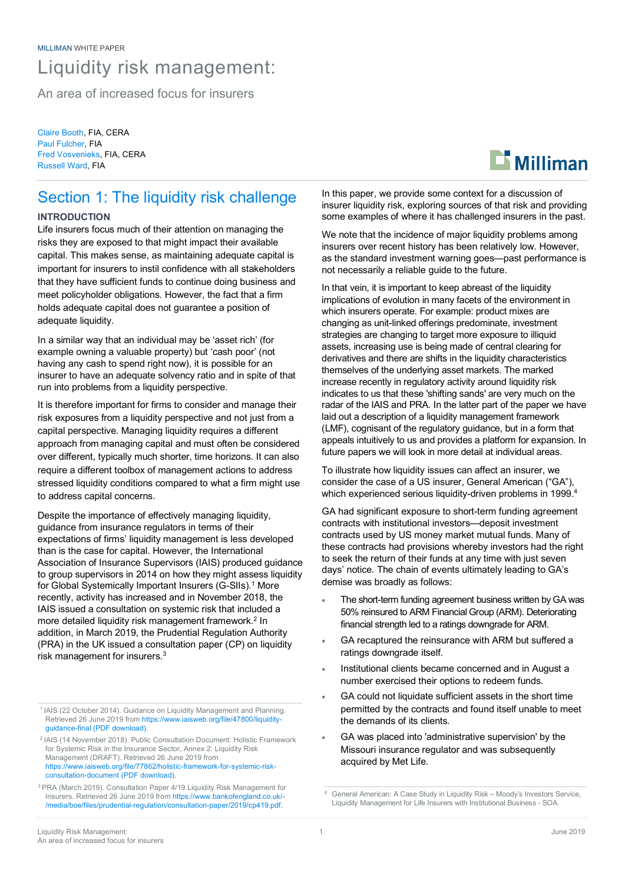# Liquidity risk management:

An area of increased focus for insurers

Claire Booth, FIA, CERA Paul Fulcher, FIA Fred Vosvenieks, FIA, CERA Russell Ward, FIA

# Section 1: The liquidity risk challenge

# **INTRODUCTION**

Life insurers focus much of their attention on managing the risks they are exposed to that might impact their available capital. This makes sense, as maintaining adequate capital is important for insurers to instil confidence with all stakeholders that they have sufficient funds to continue doing business and meet policyholder obligations. However, the fact that a firm holds adequate capital does not guarantee a position of adequate liquidity.

In a similar way that an individual may be 'asset rich' (for example owning a valuable property) but 'cash poor' (not having any cash to spend right now), it is possible for an insurer to have an adequate solvency ratio and in spite of that run into problems from a liquidity perspective.

It is therefore important for firms to consider and manage their risk exposures from a liquidity perspective and not just from a capital perspective. Managing liquidity requires a different approach from managing capital and must often be considered over different, typically much shorter, time horizons. It can also require a different toolbox of management actions to address stressed liquidity conditions compared to what a firm might use to address capital concerns.

Despite the importance of effectively managing liquidity, guidance from insurance regulators in terms of their expectations of firms' liquidity management is less developed than is the case for capital. However, the International Association of Insurance Supervisors (IAIS) produced guidance to group supervisors in 2014 on how they might assess liquidity for Global Systemically Important Insurers (G-SIIs). <sup>1</sup> More recently, activity has increased and in November 2018, the IAIS issued a consultation on systemic risk that included a more detailed liquidity risk management framework. <sup>2</sup> In addition, in March 2019, the Prudential Regulation Authority (PRA) in the UK issued a consultation paper (CP) on liquidity risk management for insurers.<sup>3</sup>

https://www.iaisweb.org/file/77862/holistic-framework-for-systemic-riskconsultation-document (PDF download).

In this paper, we provide some context for a discussion of insurer liquidity risk, exploring sources of that risk and providing some examples of where it has challenged insurers in the past.

We note that the incidence of major liquidity problems among insurers over recent history has been relatively low. However, as the standard investment warning goes—past performance is not necessarily a reliable guide to the future.

In that vein, it is important to keep abreast of the liquidity implications of evolution in many facets of the environment in which insurers operate. For example: product mixes are changing as unit-linked offerings predominate, investment strategies are changing to target more exposure to illiquid assets, increasing use is being made of central clearing for derivatives and there are shifts in the liquidity characteristics themselves of the underlying asset markets. The marked increase recently in regulatory activity around liquidity risk indicates to us that these 'shifting sands' are very much on the radar of the IAIS and PRA. In the latter part of the paper we have laid out a description of a liquidity management framework (LMF), cognisant of the regulatory guidance, but in a form that appeals intuitively to us and provides a platform for expansion. In future papers we will look in more detail at individual areas.

To illustrate how liquidity issues can affect an insurer, we consider the case of a US insurer, General American ("GA"), which experienced serious liquidity-driven problems in 1999.<sup>4</sup>

GA had significant exposure to short-term funding agreement contracts with institutional investors—deposit investment contracts used by US money market mutual funds. Many of these contracts had provisions whereby investors had the right to seek the return of their funds at any time with just seven days' notice. The chain of events ultimately leading to GA's demise was broadly as follows:

- The short-term funding agreement business written by GA was 50% reinsured to ARM Financial Group (ARM). Deteriorating financial strength led to a ratings downgrade for ARM.
- GA recaptured the reinsurance with ARM but suffered a ratings downgrade itself.
- Institutional clients became concerned and in August a number exercised their options to redeem funds.
- GA could not liquidate sufficient assets in the short time permitted by the contracts and found itself unable to meet the demands of its clients.
- GA was placed into 'administrative supervision' by the Missouri insurance regulator and was subsequently acquired by Met Life.



<sup>&</sup>lt;sup>1</sup> IAIS (22 October 2014). Guidance on Liquidity Management and Planning. Retrieved 26 June 2019 from https://www.iaisweb.org/file/47800/liquidityguidance-final (PDF download).

<sup>2</sup> IAIS (14 November 2018). Public Consultation Document: Holistic Framework for Systemic Risk in the Insurance Sector, Annex 2: Liquidity Risk Management (DRAFT). Retrieved 26 June 2019 from

<sup>3</sup> PRA (March 2019). Consultation Paper 4/19 Liquidity Risk Management for Insurers. Retrieved 26 June 2019 from https://www.bankofengland.co.uk/- /media/boe/files/prudential-regulation/consultation-paper/2019/cp419.pdf.

<sup>4</sup> General American: A Case Study in Liquidity Risk – Moody's Investors Service, Liquidity Management for Life Insurers with Institutional Business - SOA.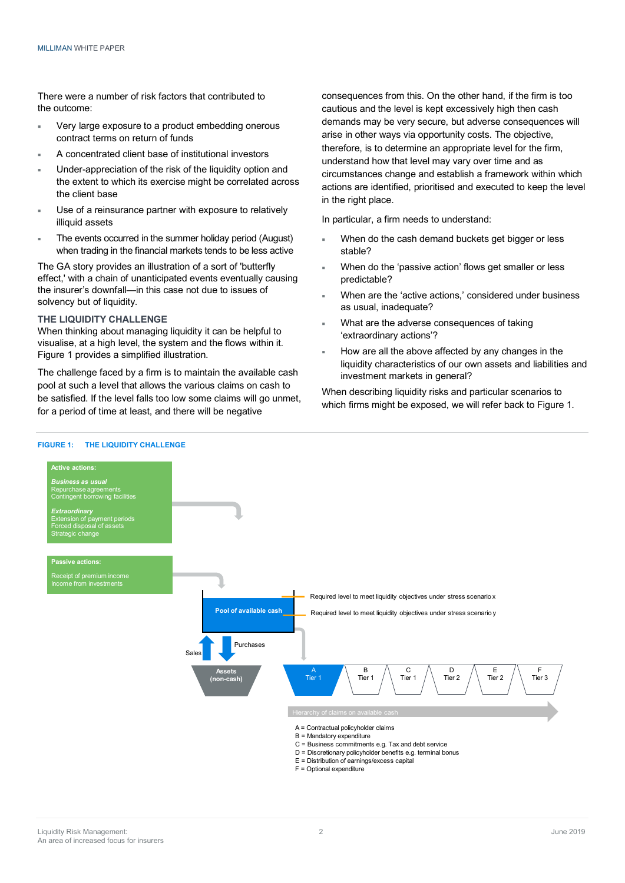There were a number of risk factors that contributed to the outcome:

- Very large exposure to a product embedding onerous contract terms on return of funds
- A concentrated client base of institutional investors
- Under-appreciation of the risk of the liquidity option and the extent to which its exercise might be correlated across the client base
- Use of a reinsurance partner with exposure to relatively illiquid assets
- The events occurred in the summer holiday period (August) when trading in the financial markets tends to be less active

The GA story provides an illustration of a sort of 'butterfly effect,' with a chain of unanticipated events eventually causing the insurer's downfall—in this case not due to issues of solvency but of liquidity.

### **THE LIQUIDITY CHALLENGE**

When thinking about managing liquidity it can be helpful to visualise, at a high level, the system and the flows within it. Figure 1 provides a simplified illustration.

The challenge faced by a firm is to maintain the available cash pool at such a level that allows the various claims on cash to be satisfied. If the level falls too low some claims will go unmet, for a period of time at least, and there will be negative

consequences from this. On the other hand, if the firm is too cautious and the level is kept excessively high then cash demands may be very secure, but adverse consequences will arise in other ways via opportunity costs. The objective, therefore, is to determine an appropriate level for the firm, understand how that level may vary over time and as circumstances change and establish a framework within which actions are identified, prioritised and executed to keep the level in the right place.

In particular, a firm needs to understand:

- When do the cash demand buckets get bigger or less stable?
- When do the 'passive action' flows get smaller or less predictable?
- When are the 'active actions,' considered under business as usual, inadequate?
- What are the adverse consequences of taking 'extraordinary actions'?
- How are all the above affected by any changes in the liquidity characteristics of our own assets and liabilities and investment markets in general?

When describing liquidity risks and particular scenarios to which firms might be exposed, we will refer back to Figure 1.

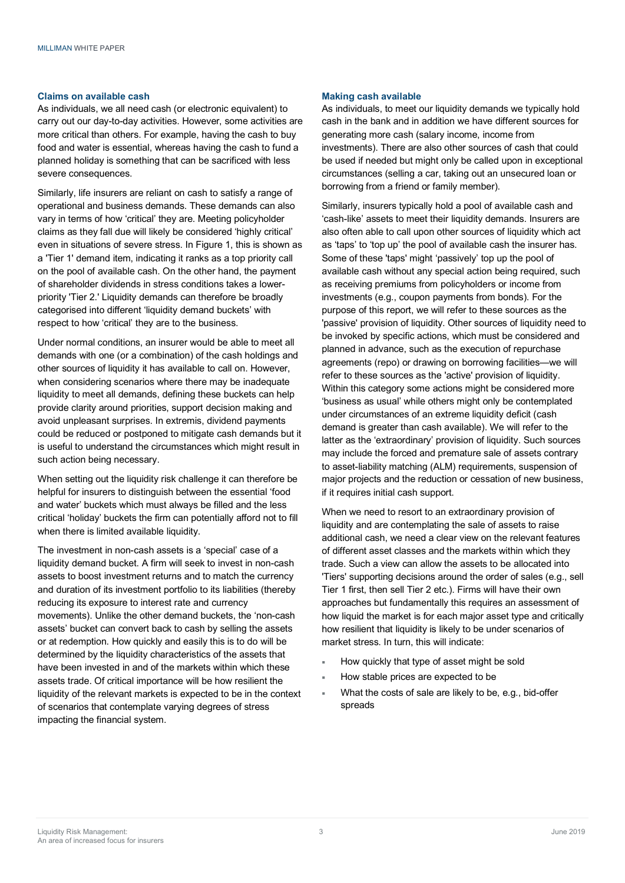#### **Claims on available cash**

As individuals, we all need cash (or electronic equivalent) to carry out our day-to-day activities. However, some activities are more critical than others. For example, having the cash to buy food and water is essential, whereas having the cash to fund a planned holiday is something that can be sacrificed with less severe consequences.

Similarly, life insurers are reliant on cash to satisfy a range of operational and business demands. These demands can also vary in terms of how 'critical' they are. Meeting policyholder claims as they fall due will likely be considered 'highly critical' even in situations of severe stress. In Figure 1, this is shown as a 'Tier 1' demand item, indicating it ranks as a top priority call on the pool of available cash. On the other hand, the payment of shareholder dividends in stress conditions takes a lowerpriority 'Tier 2.' Liquidity demands can therefore be broadly categorised into different 'liquidity demand buckets' with respect to how 'critical' they are to the business.

Under normal conditions, an insurer would be able to meet all demands with one (or a combination) of the cash holdings and other sources of liquidity it has available to call on. However, when considering scenarios where there may be inadequate liquidity to meet all demands, defining these buckets can help provide clarity around priorities, support decision making and avoid unpleasant surprises. In extremis, dividend payments could be reduced or postponed to mitigate cash demands but it is useful to understand the circumstances which might result in such action being necessary.

When setting out the liquidity risk challenge it can therefore be helpful for insurers to distinguish between the essential 'food and water' buckets which must always be filled and the less critical 'holiday' buckets the firm can potentially afford not to fill when there is limited available liquidity.

The investment in non-cash assets is a 'special' case of a liquidity demand bucket. A firm will seek to invest in non-cash assets to boost investment returns and to match the currency and duration of its investment portfolio to its liabilities (thereby reducing its exposure to interest rate and currency movements). Unlike the other demand buckets, the 'non-cash assets' bucket can convert back to cash by selling the assets or at redemption. How quickly and easily this is to do will be determined by the liquidity characteristics of the assets that have been invested in and of the markets within which these assets trade. Of critical importance will be how resilient the liquidity of the relevant markets is expected to be in the context of scenarios that contemplate varying degrees of stress impacting the financial system.

#### **Making cash available**

As individuals, to meet our liquidity demands we typically hold cash in the bank and in addition we have different sources for generating more cash (salary income, income from investments). There are also other sources of cash that could be used if needed but might only be called upon in exceptional circumstances (selling a car, taking out an unsecured loan or borrowing from a friend or family member).

Similarly, insurers typically hold a pool of available cash and 'cash-like' assets to meet their liquidity demands. Insurers are also often able to call upon other sources of liquidity which act as 'taps' to 'top up' the pool of available cash the insurer has. Some of these 'taps' might 'passively' top up the pool of available cash without any special action being required, such as receiving premiums from policyholders or income from investments (e.g., coupon payments from bonds). For the purpose of this report, we will refer to these sources as the 'passive' provision of liquidity. Other sources of liquidity need to be invoked by specific actions, which must be considered and planned in advance, such as the execution of repurchase agreements (repo) or drawing on borrowing facilities—we will refer to these sources as the 'active' provision of liquidity. Within this category some actions might be considered more 'business as usual' while others might only be contemplated under circumstances of an extreme liquidity deficit (cash demand is greater than cash available). We will refer to the latter as the 'extraordinary' provision of liquidity. Such sources may include the forced and premature sale of assets contrary to asset-liability matching (ALM) requirements, suspension of major projects and the reduction or cessation of new business, if it requires initial cash support.

When we need to resort to an extraordinary provision of liquidity and are contemplating the sale of assets to raise additional cash, we need a clear view on the relevant features of different asset classes and the markets within which they trade. Such a view can allow the assets to be allocated into 'Tiers' supporting decisions around the order of sales (e.g., sell Tier 1 first, then sell Tier 2 etc.). Firms will have their own approaches but fundamentally this requires an assessment of how liquid the market is for each major asset type and critically how resilient that liquidity is likely to be under scenarios of market stress. In turn, this will indicate:

- How quickly that type of asset might be sold
- How stable prices are expected to be
- What the costs of sale are likely to be, e.g., bid-offer spreads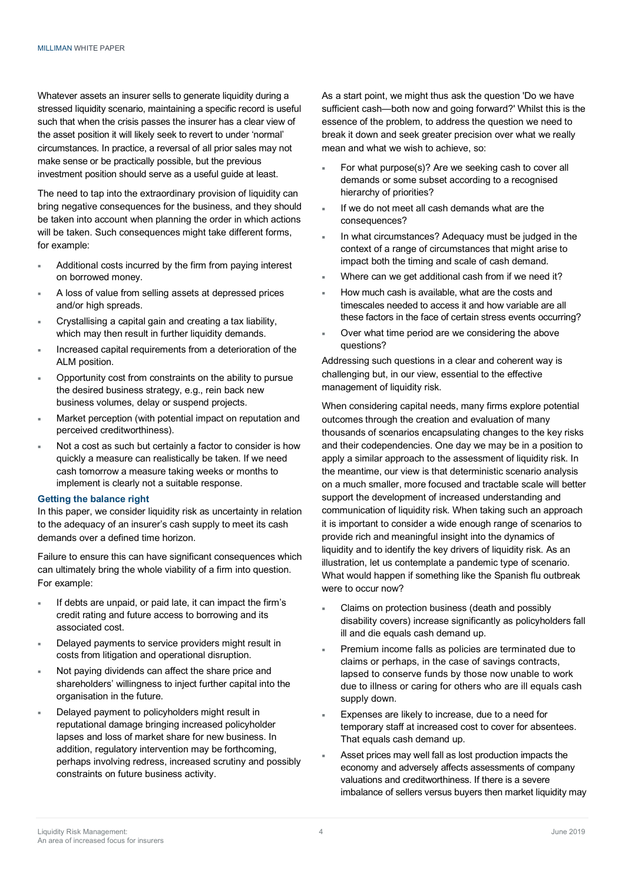Whatever assets an insurer sells to generate liquidity during a stressed liquidity scenario, maintaining a specific record is useful such that when the crisis passes the insurer has a clear view of the asset position it will likely seek to revert to under 'normal' circumstances. In practice, a reversal of all prior sales may not make sense or be practically possible, but the previous investment position should serve as a useful guide at least.

The need to tap into the extraordinary provision of liquidity can bring negative consequences for the business, and they should be taken into account when planning the order in which actions will be taken. Such consequences might take different forms, for example:

- ¡ Additional costs incurred by the firm from paying interest on borrowed money.
- A loss of value from selling assets at depressed prices and/or high spreads.
- Crystallising a capital gain and creating a tax liability, which may then result in further liquidity demands.
- Increased capital requirements from a deterioration of the ALM position.
- Opportunity cost from constraints on the ability to pursue the desired business strategy, e.g., rein back new business volumes, delay or suspend projects.
- Market perception (with potential impact on reputation and perceived creditworthiness).
- Not a cost as such but certainly a factor to consider is how quickly a measure can realistically be taken. If we need cash tomorrow a measure taking weeks or months to implement is clearly not a suitable response.

#### **Getting the balance right**

In this paper, we consider liquidity risk as uncertainty in relation to the adequacy of an insurer's cash supply to meet its cash demands over a defined time horizon.

Failure to ensure this can have significant consequences which can ultimately bring the whole viability of a firm into question. For example:

- If debts are unpaid, or paid late, it can impact the firm's credit rating and future access to borrowing and its associated cost.
- Delayed payments to service providers might result in costs from litigation and operational disruption.
- Not paying dividends can affect the share price and shareholders' willingness to inject further capital into the organisation in the future.
- Delayed payment to policyholders might result in reputational damage bringing increased policyholder lapses and loss of market share for new business. In addition, regulatory intervention may be forthcoming, perhaps involving redress, increased scrutiny and possibly constraints on future business activity.

As a start point, we might thus ask the question 'Do we have sufficient cash—both now and going forward?' Whilst this is the essence of the problem, to address the question we need to break it down and seek greater precision over what we really mean and what we wish to achieve, so:

- For what purpose(s)? Are we seeking cash to cover all demands or some subset according to a recognised hierarchy of priorities?
- If we do not meet all cash demands what are the consequences?
- In what circumstances? Adequacy must be judged in the context of a range of circumstances that might arise to impact both the timing and scale of cash demand.
- Where can we get additional cash from if we need it?
- ¡ How much cash is available, what are the costs and timescales needed to access it and how variable are all these factors in the face of certain stress events occurring?
- Over what time period are we considering the above questions?

Addressing such questions in a clear and coherent way is challenging but, in our view, essential to the effective management of liquidity risk.

When considering capital needs, many firms explore potential outcomes through the creation and evaluation of many thousands of scenarios encapsulating changes to the key risks and their codependencies. One day we may be in a position to apply a similar approach to the assessment of liquidity risk. In the meantime, our view is that deterministic scenario analysis on a much smaller, more focused and tractable scale will better support the development of increased understanding and communication of liquidity risk. When taking such an approach it is important to consider a wide enough range of scenarios to provide rich and meaningful insight into the dynamics of liquidity and to identify the key drivers of liquidity risk. As an illustration, let us contemplate a pandemic type of scenario. What would happen if something like the Spanish flu outbreak were to occur now?

- Claims on protection business (death and possibly disability covers) increase significantly as policyholders fall ill and die equals cash demand up.
- Premium income falls as policies are terminated due to claims or perhaps, in the case of savings contracts, lapsed to conserve funds by those now unable to work due to illness or caring for others who are ill equals cash supply down.
- Expenses are likely to increase, due to a need for temporary staff at increased cost to cover for absentees. That equals cash demand up.
- Asset prices may well fall as lost production impacts the economy and adversely affects assessments of company valuations and creditworthiness. If there is a severe imbalance of sellers versus buyers then market liquidity may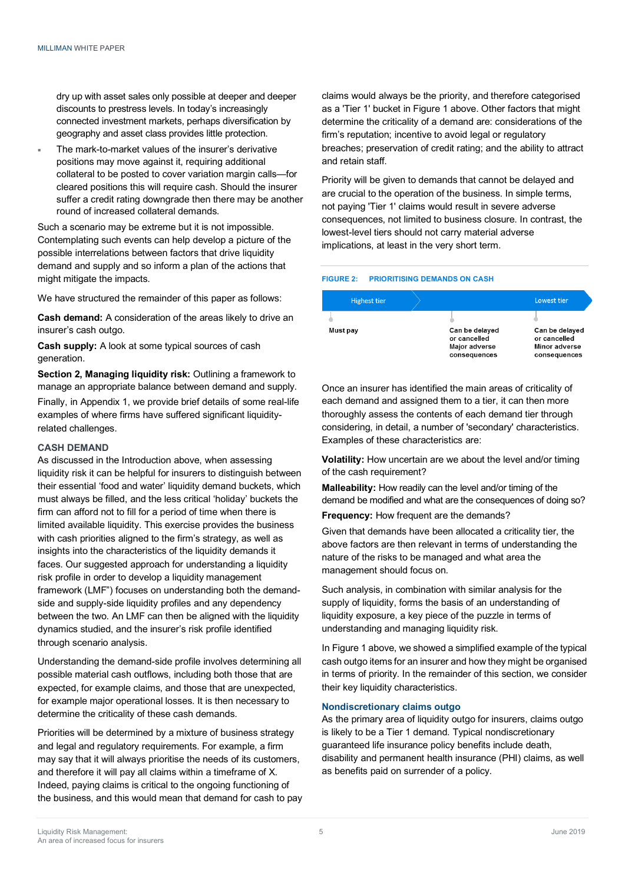dry up with asset sales only possible at deeper and deeper discounts to prestress levels. In today's increasingly connected investment markets, perhaps diversification by geography and asset class provides little protection.

The mark-to-market values of the insurer's derivative positions may move against it, requiring additional collateral to be posted to cover variation margin calls—for cleared positions this will require cash. Should the insurer suffer a credit rating downgrade then there may be another round of increased collateral demands.

Such a scenario may be extreme but it is not impossible. Contemplating such events can help develop a picture of the possible interrelations between factors that drive liquidity demand and supply and so inform a plan of the actions that might mitigate the impacts.

We have structured the remainder of this paper as follows:

**Cash demand:** A consideration of the areas likely to drive an insurer's cash outgo.

**Cash supply:** A look at some typical sources of cash generation.

**Section 2, Managing liquidity risk:** Outlining a framework to manage an appropriate balance between demand and supply.

Finally, in Appendix 1, we provide brief details of some real-life examples of where firms have suffered significant liquidityrelated challenges.

#### **CASH DEMAND**

As discussed in the Introduction above, when assessing liquidity risk it can be helpful for insurers to distinguish between their essential 'food and water' liquidity demand buckets, which must always be filled, and the less critical 'holiday' buckets the firm can afford not to fill for a period of time when there is limited available liquidity. This exercise provides the business with cash priorities aligned to the firm's strategy, as well as insights into the characteristics of the liquidity demands it faces. Our suggested approach for understanding a liquidity risk profile in order to develop a liquidity management framework (LMF") focuses on understanding both the demandside and supply-side liquidity profiles and any dependency between the two. An LMF can then be aligned with the liquidity dynamics studied, and the insurer's risk profile identified through scenario analysis.

Understanding the demand-side profile involves determining all possible material cash outflows, including both those that are expected, for example claims, and those that are unexpected, for example major operational losses. It is then necessary to determine the criticality of these cash demands.

Priorities will be determined by a mixture of business strategy and legal and regulatory requirements. For example, a firm may say that it will always prioritise the needs of its customers, and therefore it will pay all claims within a timeframe of X. Indeed, paying claims is critical to the ongoing functioning of the business, and this would mean that demand for cash to pay claims would always be the priority, and therefore categorised as a 'Tier 1' bucket in Figure 1 above. Other factors that might determine the criticality of a demand are: considerations of the firm's reputation; incentive to avoid legal or regulatory breaches; preservation of credit rating; and the ability to attract and retain staff.

Priority will be given to demands that cannot be delayed and are crucial to the operation of the business. In simple terms, not paying 'Tier 1' claims would result in severe adverse consequences, not limited to business closure. In contrast, the lowest-level tiers should not carry material adverse implications, at least in the very short term.

#### **FIGURE 2: PRIORITISING DEMANDS ON CASH**

| <b>Highest tier</b> |                                                                 | Lowest tier                                                     |
|---------------------|-----------------------------------------------------------------|-----------------------------------------------------------------|
|                     |                                                                 |                                                                 |
| Must pay            | Can be delayed<br>or cancelled<br>Major adverse<br>consequences | Can be delayed<br>or cancelled<br>Minor adverse<br>consequences |

Once an insurer has identified the main areas of criticality of each demand and assigned them to a tier, it can then more thoroughly assess the contents of each demand tier through considering, in detail, a number of 'secondary' characteristics. Examples of these characteristics are:

**Volatility:** How uncertain are we about the level and/or timing of the cash requirement?

**Malleability:** How readily can the level and/or timing of the demand be modified and what are the consequences of doing so?

**Frequency:** How frequent are the demands?

Given that demands have been allocated a criticality tier, the above factors are then relevant in terms of understanding the nature of the risks to be managed and what area the management should focus on.

Such analysis, in combination with similar analysis for the supply of liquidity, forms the basis of an understanding of liquidity exposure, a key piece of the puzzle in terms of understanding and managing liquidity risk.

In Figure 1 above, we showed a simplified example of the typical cash outgo items for an insurer and how they might be organised in terms of priority. In the remainder of this section, we consider their key liquidity characteristics.

#### **Nondiscretionary claims outgo**

As the primary area of liquidity outgo for insurers, claims outgo is likely to be a Tier 1 demand. Typical nondiscretionary guaranteed life insurance policy benefits include death, disability and permanent health insurance (PHI) claims, as well as benefits paid on surrender of a policy.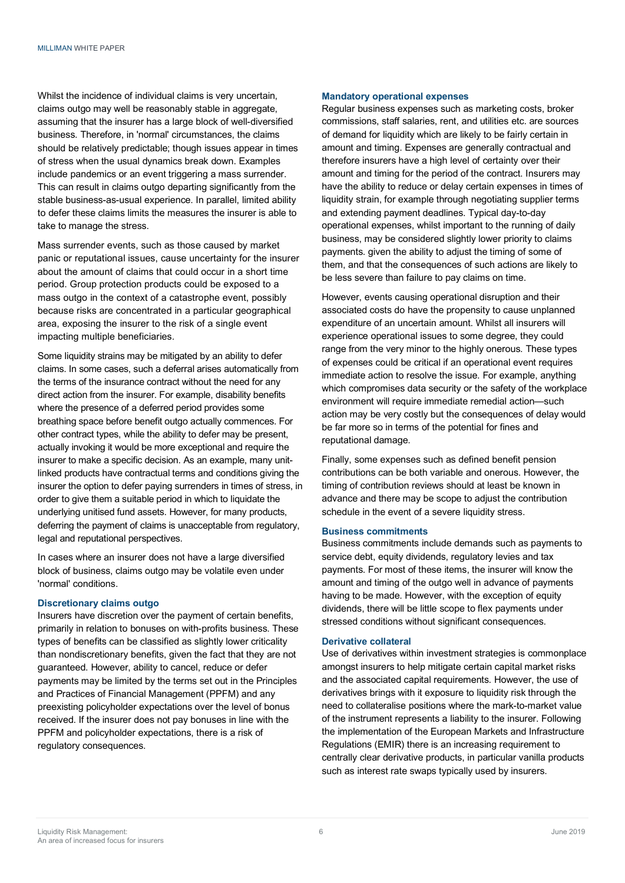Whilst the incidence of individual claims is very uncertain, claims outgo may well be reasonably stable in aggregate, assuming that the insurer has a large block of well-diversified business. Therefore, in 'normal' circumstances, the claims should be relatively predictable; though issues appear in times of stress when the usual dynamics break down. Examples include pandemics or an event triggering a mass surrender. This can result in claims outgo departing significantly from the stable business-as-usual experience. In parallel, limited ability to defer these claims limits the measures the insurer is able to take to manage the stress.

Mass surrender events, such as those caused by market panic or reputational issues, cause uncertainty for the insurer about the amount of claims that could occur in a short time period. Group protection products could be exposed to a mass outgo in the context of a catastrophe event, possibly because risks are concentrated in a particular geographical area, exposing the insurer to the risk of a single event impacting multiple beneficiaries.

Some liquidity strains may be mitigated by an ability to defer claims. In some cases, such a deferral arises automatically from the terms of the insurance contract without the need for any direct action from the insurer. For example, disability benefits where the presence of a deferred period provides some breathing space before benefit outgo actually commences. For other contract types, while the ability to defer may be present, actually invoking it would be more exceptional and require the insurer to make a specific decision. As an example, many unitlinked products have contractual terms and conditions giving the insurer the option to defer paying surrenders in times of stress, in order to give them a suitable period in which to liquidate the underlying unitised fund assets. However, for many products, deferring the payment of claims is unacceptable from regulatory, legal and reputational perspectives.

In cases where an insurer does not have a large diversified block of business, claims outgo may be volatile even under 'normal' conditions.

# **Discretionary claims outgo**

Insurers have discretion over the payment of certain benefits, primarily in relation to bonuses on with-profits business. These types of benefits can be classified as slightly lower criticality than nondiscretionary benefits, given the fact that they are not guaranteed. However, ability to cancel, reduce or defer payments may be limited by the terms set out in the Principles and Practices of Financial Management (PPFM) and any preexisting policyholder expectations over the level of bonus received. If the insurer does not pay bonuses in line with the PPFM and policyholder expectations, there is a risk of regulatory consequences.

#### **Mandatory operational expenses**

Regular business expenses such as marketing costs, broker commissions, staff salaries, rent, and utilities etc. are sources of demand for liquidity which are likely to be fairly certain in amount and timing. Expenses are generally contractual and therefore insurers have a high level of certainty over their amount and timing for the period of the contract. Insurers may have the ability to reduce or delay certain expenses in times of liquidity strain, for example through negotiating supplier terms and extending payment deadlines. Typical day-to-day operational expenses, whilst important to the running of daily business, may be considered slightly lower priority to claims payments. given the ability to adjust the timing of some of them, and that the consequences of such actions are likely to be less severe than failure to pay claims on time.

However, events causing operational disruption and their associated costs do have the propensity to cause unplanned expenditure of an uncertain amount. Whilst all insurers will experience operational issues to some degree, they could range from the very minor to the highly onerous. These types of expenses could be critical if an operational event requires immediate action to resolve the issue. For example, anything which compromises data security or the safety of the workplace environment will require immediate remedial action—such action may be very costly but the consequences of delay would be far more so in terms of the potential for fines and reputational damage.

Finally, some expenses such as defined benefit pension contributions can be both variable and onerous. However, the timing of contribution reviews should at least be known in advance and there may be scope to adjust the contribution schedule in the event of a severe liquidity stress.

#### **Business commitments**

Business commitments include demands such as payments to service debt, equity dividends, regulatory levies and tax payments. For most of these items, the insurer will know the amount and timing of the outgo well in advance of payments having to be made. However, with the exception of equity dividends, there will be little scope to flex payments under stressed conditions without significant consequences.

#### **Derivative collateral**

Use of derivatives within investment strategies is commonplace amongst insurers to help mitigate certain capital market risks and the associated capital requirements. However, the use of derivatives brings with it exposure to liquidity risk through the need to collateralise positions where the mark-to-market value of the instrument represents a liability to the insurer. Following the implementation of the European Markets and Infrastructure Regulations (EMIR) there is an increasing requirement to centrally clear derivative products, in particular vanilla products such as interest rate swaps typically used by insurers.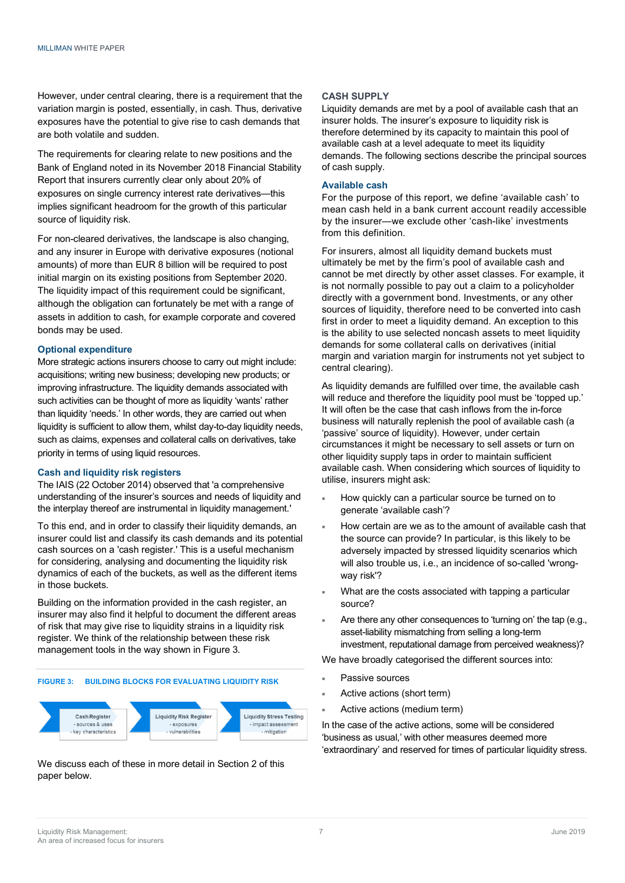However, under central clearing, there is a requirement that the variation margin is posted, essentially, in cash. Thus, derivative exposures have the potential to give rise to cash demands that are both volatile and sudden.

The requirements for clearing relate to new positions and the Bank of England noted in its November 2018 Financial Stability Report that insurers currently clear only about 20% of exposures on single currency interest rate derivatives—this implies significant headroom for the growth of this particular source of liquidity risk.

For non-cleared derivatives, the landscape is also changing, and any insurer in Europe with derivative exposures (notional amounts) of more than EUR 8 billion will be required to post initial margin on its existing positions from September 2020. The liquidity impact of this requirement could be significant, although the obligation can fortunately be met with a range of assets in addition to cash, for example corporate and covered bonds may be used.

#### **Optional expenditure**

More strategic actions insurers choose to carry out might include: acquisitions; writing new business; developing new products; or improving infrastructure. The liquidity demands associated with such activities can be thought of more as liquidity 'wants' rather than liquidity 'needs.' In other words, they are carried out when liquidity is sufficient to allow them, whilst day-to-day liquidity needs, such as claims, expenses and collateral calls on derivatives, take priority in terms of using liquid resources.

#### **Cash and liquidity risk registers**

The IAIS (22 October 2014) observed that 'a comprehensive understanding of the insurer's sources and needs of liquidity and the interplay thereof are instrumental in liquidity management.'

To this end, and in order to classify their liquidity demands, an insurer could list and classify its cash demands and its potential cash sources on a 'cash register.' This is a useful mechanism for considering, analysing and documenting the liquidity risk dynamics of each of the buckets, as well as the different items in those buckets.

Building on the information provided in the cash register, an insurer may also find it helpful to document the different areas of risk that may give rise to liquidity strains in a liquidity risk register. We think of the relationship between these risk management tools in the way shown in Figure 3.

#### **FIGURE 3: BUILDING BLOCKS FOR EVALUATING LIQUIDITY RISK**



We discuss each of these in more detail in Section 2 of this paper below.

#### **CASH SUPPLY**

Liquidity demands are met by a pool of available cash that an insurer holds. The insurer's exposure to liquidity risk is therefore determined by its capacity to maintain this pool of available cash at a level adequate to meet its liquidity demands. The following sections describe the principal sources of cash supply.

#### **Available cash**

For the purpose of this report, we define 'available cash' to mean cash held in a bank current account readily accessible by the insurer—we exclude other 'cash-like' investments from this definition.

For insurers, almost all liquidity demand buckets must ultimately be met by the firm's pool of available cash and cannot be met directly by other asset classes. For example, it is not normally possible to pay out a claim to a policyholder directly with a government bond. Investments, or any other sources of liquidity, therefore need to be converted into cash first in order to meet a liquidity demand. An exception to this is the ability to use selected noncash assets to meet liquidity demands for some collateral calls on derivatives (initial margin and variation margin for instruments not yet subject to central clearing).

As liquidity demands are fulfilled over time, the available cash will reduce and therefore the liquidity pool must be 'topped up.' It will often be the case that cash inflows from the in-force business will naturally replenish the pool of available cash (a 'passive' source of liquidity). However, under certain circumstances it might be necessary to sell assets or turn on other liquidity supply taps in order to maintain sufficient available cash. When considering which sources of liquidity to utilise, insurers might ask:

- How quickly can a particular source be turned on to generate 'available cash'?
- How certain are we as to the amount of available cash that the source can provide? In particular, is this likely to be adversely impacted by stressed liquidity scenarios which will also trouble us, i.e., an incidence of so-called 'wrongway risk'?
- What are the costs associated with tapping a particular source?
- Are there any other consequences to 'turning on' the tap (e.g., asset-liability mismatching from selling a long-term investment, reputational damage from perceived weakness)?

We have broadly categorised the different sources into:

- Passive sources
- Active actions (short term)
- Active actions (medium term)

In the case of the active actions, some will be considered 'business as usual,' with other measures deemed more 'extraordinary' and reserved for times of particular liquidity stress.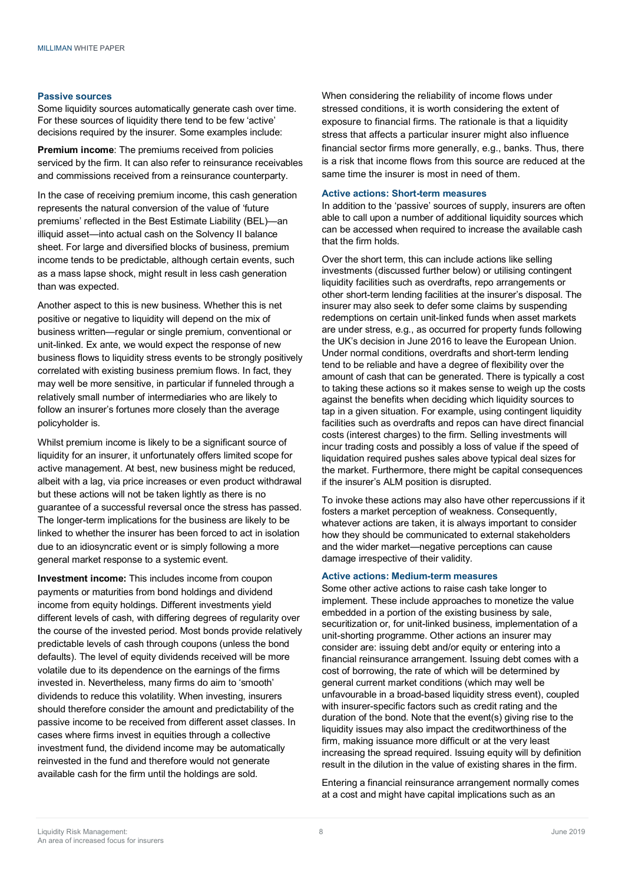#### **Passive sources**

Some liquidity sources automatically generate cash over time. For these sources of liquidity there tend to be few 'active' decisions required by the insurer. Some examples include:

**Premium income**: The premiums received from policies serviced by the firm. It can also refer to reinsurance receivables and commissions received from a reinsurance counterparty.

In the case of receiving premium income, this cash generation represents the natural conversion of the value of 'future premiums' reflected in the Best Estimate Liability (BEL)—an illiquid asset—into actual cash on the Solvency II balance sheet. For large and diversified blocks of business, premium income tends to be predictable, although certain events, such as a mass lapse shock, might result in less cash generation than was expected.

Another aspect to this is new business. Whether this is net positive or negative to liquidity will depend on the mix of business written—regular or single premium, conventional or unit-linked. Ex ante, we would expect the response of new business flows to liquidity stress events to be strongly positively correlated with existing business premium flows. In fact, they may well be more sensitive, in particular if funneled through a relatively small number of intermediaries who are likely to follow an insurer's fortunes more closely than the average policyholder is.

Whilst premium income is likely to be a significant source of liquidity for an insurer, it unfortunately offers limited scope for active management. At best, new business might be reduced, albeit with a lag, via price increases or even product withdrawal but these actions will not be taken lightly as there is no guarantee of a successful reversal once the stress has passed. The longer-term implications for the business are likely to be linked to whether the insurer has been forced to act in isolation due to an idiosyncratic event or is simply following a more general market response to a systemic event.

**Investment income:** This includes income from coupon payments or maturities from bond holdings and dividend income from equity holdings. Different investments yield different levels of cash, with differing degrees of regularity over the course of the invested period. Most bonds provide relatively predictable levels of cash through coupons (unless the bond defaults). The level of equity dividends received will be more volatile due to its dependence on the earnings of the firms invested in. Nevertheless, many firms do aim to 'smooth' dividends to reduce this volatility. When investing, insurers should therefore consider the amount and predictability of the passive income to be received from different asset classes. In cases where firms invest in equities through a collective investment fund, the dividend income may be automatically reinvested in the fund and therefore would not generate available cash for the firm until the holdings are sold.

When considering the reliability of income flows under stressed conditions, it is worth considering the extent of exposure to financial firms. The rationale is that a liquidity stress that affects a particular insurer might also influence financial sector firms more generally, e.g., banks. Thus, there is a risk that income flows from this source are reduced at the same time the insurer is most in need of them.

#### **Active actions: Short-term measures**

In addition to the 'passive' sources of supply, insurers are often able to call upon a number of additional liquidity sources which can be accessed when required to increase the available cash that the firm holds.

Over the short term, this can include actions like selling investments (discussed further below) or utilising contingent liquidity facilities such as overdrafts, repo arrangements or other short-term lending facilities at the insurer's disposal. The insurer may also seek to defer some claims by suspending redemptions on certain unit-linked funds when asset markets are under stress, e.g., as occurred for property funds following the UK's decision in June 2016 to leave the European Union. Under normal conditions, overdrafts and short-term lending tend to be reliable and have a degree of flexibility over the amount of cash that can be generated. There is typically a cost to taking these actions so it makes sense to weigh up the costs against the benefits when deciding which liquidity sources to tap in a given situation. For example, using contingent liquidity facilities such as overdrafts and repos can have direct financial costs (interest charges) to the firm. Selling investments will incur trading costs and possibly a loss of value if the speed of liquidation required pushes sales above typical deal sizes for the market. Furthermore, there might be capital consequences if the insurer's ALM position is disrupted.

To invoke these actions may also have other repercussions if it fosters a market perception of weakness. Consequently, whatever actions are taken, it is always important to consider how they should be communicated to external stakeholders and the wider market—negative perceptions can cause damage irrespective of their validity.

#### **Active actions: Medium-term measures**

Some other active actions to raise cash take longer to implement. These include approaches to monetize the value embedded in a portion of the existing business by sale, securitization or, for unit-linked business, implementation of a unit-shorting programme. Other actions an insurer may consider are: issuing debt and/or equity or entering into a financial reinsurance arrangement. Issuing debt comes with a cost of borrowing, the rate of which will be determined by general current market conditions (which may well be unfavourable in a broad-based liquidity stress event), coupled with insurer-specific factors such as credit rating and the duration of the bond. Note that the event(s) giving rise to the liquidity issues may also impact the creditworthiness of the firm, making issuance more difficult or at the very least increasing the spread required. Issuing equity will by definition result in the dilution in the value of existing shares in the firm.

Entering a financial reinsurance arrangement normally comes at a cost and might have capital implications such as an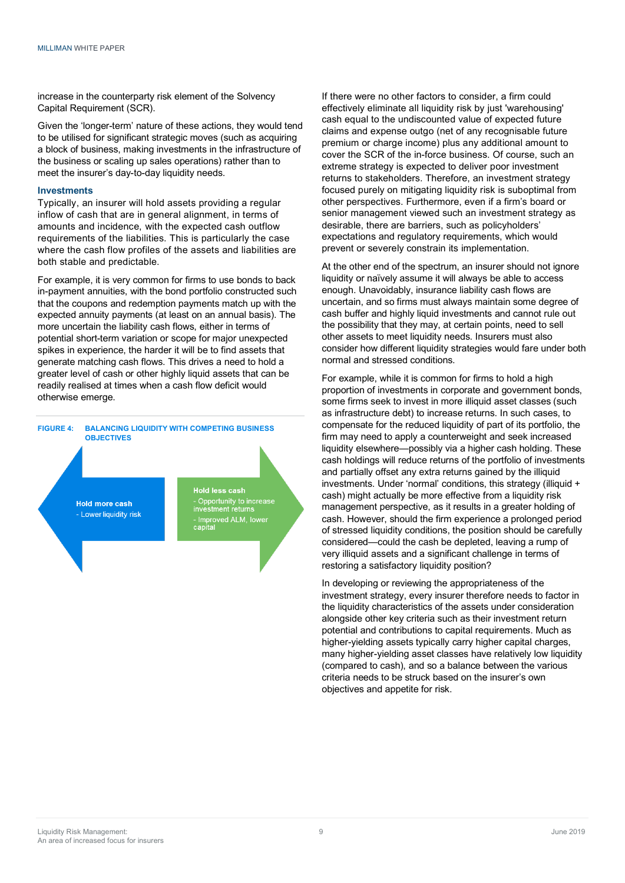increase in the counterparty risk element of the Solvency Capital Requirement (SCR).

Given the 'longer-term' nature of these actions, they would tend to be utilised for significant strategic moves (such as acquiring a block of business, making investments in the infrastructure of the business or scaling up sales operations) rather than to meet the insurer's day-to-day liquidity needs.

#### **Investments**

Typically, an insurer will hold assets providing a regular inflow of cash that are in general alignment, in terms of amounts and incidence, with the expected cash outflow requirements of the liabilities. This is particularly the case where the cash flow profiles of the assets and liabilities are both stable and predictable.

For example, it is very common for firms to use bonds to back in-payment annuities, with the bond portfolio constructed such that the coupons and redemption payments match up with the expected annuity payments (at least on an annual basis). The more uncertain the liability cash flows, either in terms of potential short-term variation or scope for major unexpected spikes in experience, the harder it will be to find assets that generate matching cash flows. This drives a need to hold a greater level of cash or other highly liquid assets that can be readily realised at times when a cash flow deficit would otherwise emerge.



If there were no other factors to consider, a firm could effectively eliminate all liquidity risk by just 'warehousing' cash equal to the undiscounted value of expected future claims and expense outgo (net of any recognisable future premium or charge income) plus any additional amount to cover the SCR of the in-force business. Of course, such an extreme strategy is expected to deliver poor investment returns to stakeholders. Therefore, an investment strategy focused purely on mitigating liquidity risk is suboptimal from other perspectives. Furthermore, even if a firm's board or senior management viewed such an investment strategy as desirable, there are barriers, such as policyholders' expectations and regulatory requirements, which would prevent or severely constrain its implementation.

At the other end of the spectrum, an insurer should not ignore liquidity or naïvely assume it will always be able to access enough. Unavoidably, insurance liability cash flows are uncertain, and so firms must always maintain some degree of cash buffer and highly liquid investments and cannot rule out the possibility that they may, at certain points, need to sell other assets to meet liquidity needs. Insurers must also consider how different liquidity strategies would fare under both normal and stressed conditions.

For example, while it is common for firms to hold a high proportion of investments in corporate and government bonds, some firms seek to invest in more illiquid asset classes (such as infrastructure debt) to increase returns. In such cases, to compensate for the reduced liquidity of part of its portfolio, the firm may need to apply a counterweight and seek increased liquidity elsewhere—possibly via a higher cash holding. These cash holdings will reduce returns of the portfolio of investments and partially offset any extra returns gained by the illiquid investments. Under 'normal' conditions, this strategy (illiquid + cash) might actually be more effective from a liquidity risk management perspective, as it results in a greater holding of cash. However, should the firm experience a prolonged period of stressed liquidity conditions, the position should be carefully considered—could the cash be depleted, leaving a rump of very illiquid assets and a significant challenge in terms of restoring a satisfactory liquidity position?

In developing or reviewing the appropriateness of the investment strategy, every insurer therefore needs to factor in the liquidity characteristics of the assets under consideration alongside other key criteria such as their investment return potential and contributions to capital requirements. Much as higher-yielding assets typically carry higher capital charges, many higher-yielding asset classes have relatively low liquidity (compared to cash), and so a balance between the various criteria needs to be struck based on the insurer's own objectives and appetite for risk.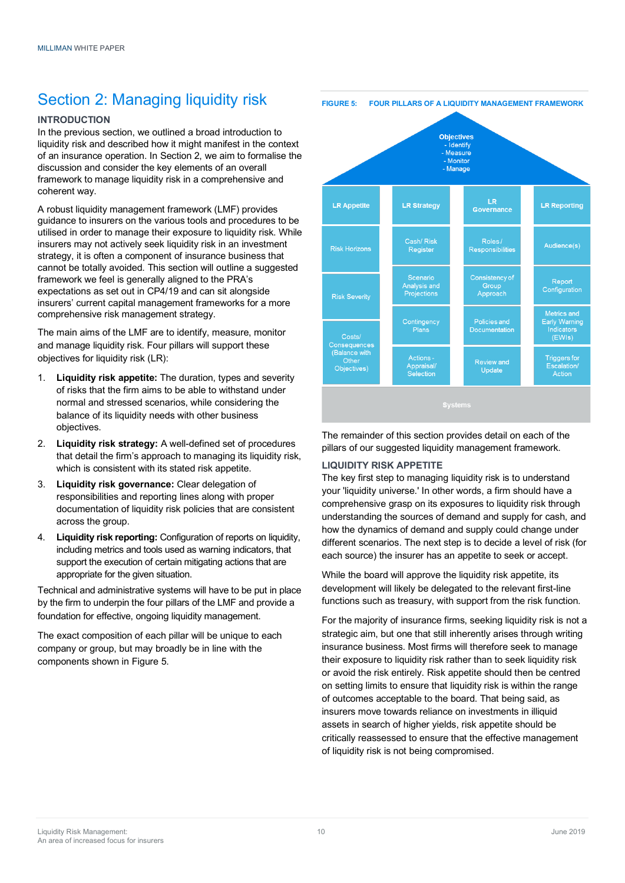# Section 2: Managing liquidity risk

# **INTRODUCTION**

In the previous section, we outlined a broad introduction to liquidity risk and described how it might manifest in the context of an insurance operation. In Section 2, we aim to formalise the discussion and consider the key elements of an overall framework to manage liquidity risk in a comprehensive and coherent way.

A robust liquidity management framework (LMF) provides guidance to insurers on the various tools and procedures to be utilised in order to manage their exposure to liquidity risk. While insurers may not actively seek liquidity risk in an investment strategy, it is often a component of insurance business that cannot be totally avoided. This section will outline a suggested framework we feel is generally aligned to the PRA's expectations as set out in CP4/19 and can sit alongside insurers' current capital management frameworks for a more comprehensive risk management strategy.

The main aims of the LMF are to identify, measure, monitor and manage liquidity risk. Four pillars will support these objectives for liquidity risk (LR):

- 1. **Liquidity risk appetite:** The duration, types and severity of risks that the firm aims to be able to withstand under normal and stressed scenarios, while considering the balance of its liquidity needs with other business objectives.
- 2. **Liquidity risk strategy:** A well-defined set of procedures that detail the firm's approach to managing its liquidity risk, which is consistent with its stated risk appetite.
- 3. **Liquidity risk governance:** Clear delegation of responsibilities and reporting lines along with proper documentation of liquidity risk policies that are consistent across the group.
- 4. **Liquidity risk reporting:** Configuration of reports on liquidity, including metrics and tools used as warning indicators, that support the execution of certain mitigating actions that are appropriate for the given situation.

Technical and administrative systems will have to be put in place by the firm to underpin the four pillars of the LMF and provide a foundation for effective, ongoing liquidity management.

The exact composition of each pillar will be unique to each company or group, but may broadly be in line with the components shown in Figure 5.



The remainder of this section provides detail on each of the pillars of our suggested liquidity management framework.

# **LIQUIDITY RISK APPETITE**

The key first step to managing liquidity risk is to understand your 'liquidity universe.' In other words, a firm should have a comprehensive grasp on its exposures to liquidity risk through understanding the sources of demand and supply for cash, and how the dynamics of demand and supply could change under different scenarios. The next step is to decide a level of risk (for each source) the insurer has an appetite to seek or accept.

While the board will approve the liquidity risk appetite, its development will likely be delegated to the relevant first-line functions such as treasury, with support from the risk function.

For the majority of insurance firms, seeking liquidity risk is not a strategic aim, but one that still inherently arises through writing insurance business. Most firms will therefore seek to manage their exposure to liquidity risk rather than to seek liquidity risk or avoid the risk entirely. Risk appetite should then be centred on setting limits to ensure that liquidity risk is within the range of outcomes acceptable to the board. That being said, as insurers move towards reliance on investments in illiquid assets in search of higher yields, risk appetite should be critically reassessed to ensure that the effective management of liquidity risk is not being compromised.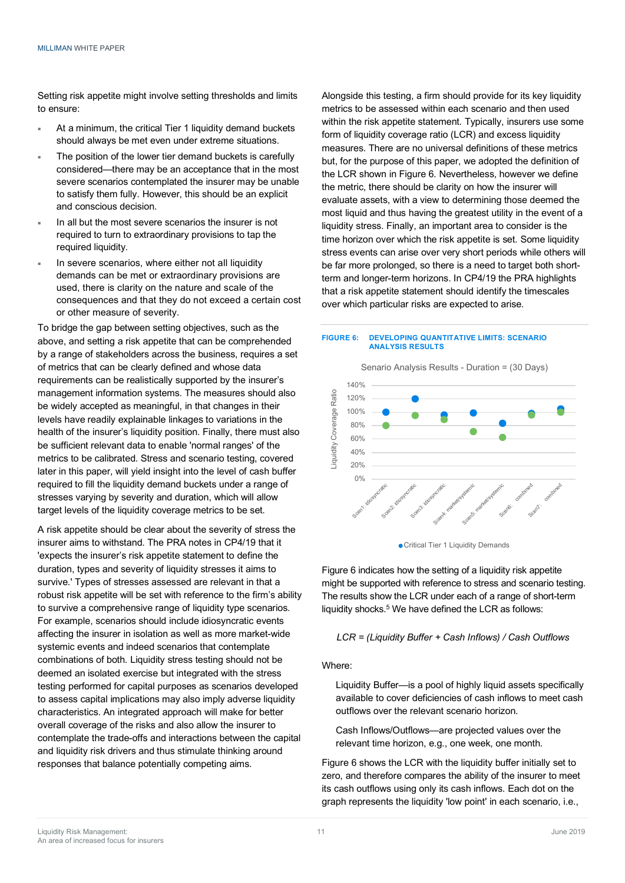Setting risk appetite might involve setting thresholds and limits to ensure:

- At a minimum, the critical Tier 1 liquidity demand buckets should always be met even under extreme situations.
- The position of the lower tier demand buckets is carefully considered—there may be an acceptance that in the most severe scenarios contemplated the insurer may be unable to satisfy them fully. However, this should be an explicit and conscious decision.
- In all but the most severe scenarios the insurer is not required to turn to extraordinary provisions to tap the required liquidity.
- In severe scenarios, where either not all liquidity demands can be met or extraordinary provisions are used, there is clarity on the nature and scale of the consequences and that they do not exceed a certain cost or other measure of severity.

To bridge the gap between setting objectives, such as the above, and setting a risk appetite that can be comprehended by a range of stakeholders across the business, requires a set of metrics that can be clearly defined and whose data requirements can be realistically supported by the insurer's management information systems. The measures should also be widely accepted as meaningful, in that changes in their levels have readily explainable linkages to variations in the health of the insurer's liquidity position. Finally, there must also be sufficient relevant data to enable 'normal ranges' of the metrics to be calibrated. Stress and scenario testing, covered later in this paper, will yield insight into the level of cash buffer required to fill the liquidity demand buckets under a range of stresses varying by severity and duration, which will allow target levels of the liquidity coverage metrics to be set.

A risk appetite should be clear about the severity of stress the insurer aims to withstand. The PRA notes in CP4/19 that it 'expects the insurer's risk appetite statement to define the duration, types and severity of liquidity stresses it aims to survive.' Types of stresses assessed are relevant in that a robust risk appetite will be set with reference to the firm's ability to survive a comprehensive range of liquidity type scenarios. For example, scenarios should include idiosyncratic events affecting the insurer in isolation as well as more market-wide systemic events and indeed scenarios that contemplate combinations of both. Liquidity stress testing should not be deemed an isolated exercise but integrated with the stress testing performed for capital purposes as scenarios developed to assess capital implications may also imply adverse liquidity characteristics. An integrated approach will make for better overall coverage of the risks and also allow the insurer to contemplate the trade-offs and interactions between the capital and liquidity risk drivers and thus stimulate thinking around responses that balance potentially competing aims.

Alongside this testing, a firm should provide for its key liquidity metrics to be assessed within each scenario and then used within the risk appetite statement. Typically, insurers use some form of liquidity coverage ratio (LCR) and excess liquidity measures. There are no universal definitions of these metrics but, for the purpose of this paper, we adopted the definition of the LCR shown in Figure 6. Nevertheless, however we define the metric, there should be clarity on how the insurer will evaluate assets, with a view to determining those deemed the most liquid and thus having the greatest utility in the event of a liquidity stress. Finally, an important area to consider is the time horizon over which the risk appetite is set. Some liquidity stress events can arise over very short periods while others will be far more prolonged, so there is a need to target both shortterm and longer-term horizons. In CP4/19 the PRA highlights that a risk appetite statement should identify the timescales over which particular risks are expected to arise.

#### **FIGURE 6: DEVELOPING QUANTITATIVE LIMITS: SCENARIO ANALYSIS RESULTS**







Figure 6 indicates how the setting of a liquidity risk appetite might be supported with reference to stress and scenario testing. The results show the LCR under each of a range of short-term liquidity shocks. <sup>5</sup> We have defined the LCR as follows:

# *LCR = (Liquidity Buffer + Cash Inflows) / Cash Outflows*

Where:

Liquidity Buffer—is a pool of highly liquid assets specifically available to cover deficiencies of cash inflows to meet cash outflows over the relevant scenario horizon.

Cash Inflows/Outflows—are projected values over the relevant time horizon, e.g., one week, one month.

Figure 6 shows the LCR with the liquidity buffer initially set to zero, and therefore compares the ability of the insurer to meet its cash outflows using only its cash inflows. Each dot on the graph represents the liquidity 'low point' in each scenario, i.e.,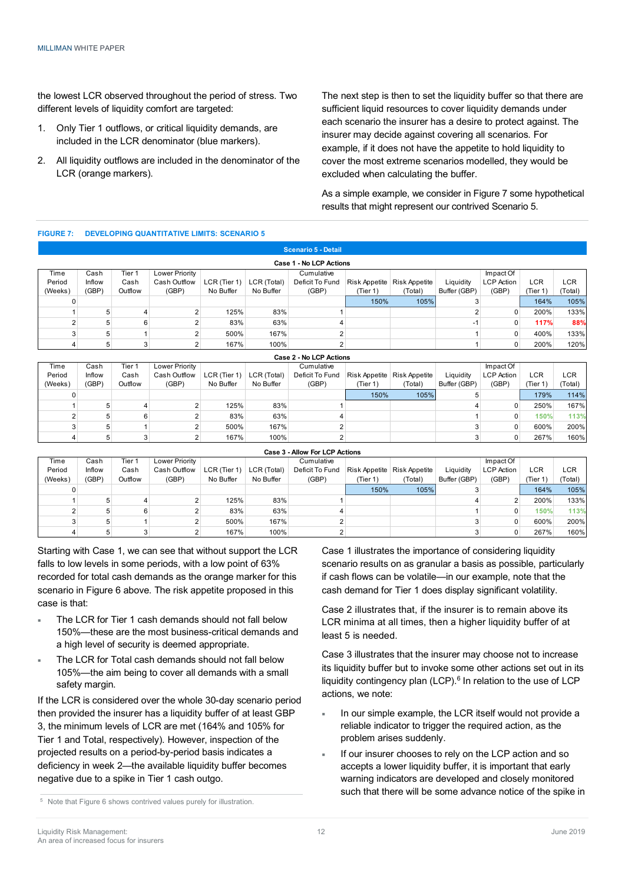the lowest LCR observed throughout the period of stress. Two different levels of liquidity comfort are targeted:

- 1. Only Tier 1 outflows, or critical liquidity demands, are included in the LCR denominator (blue markers).
- 2. All liquidity outflows are included in the denominator of the LCR (orange markers).

The next step is then to set the liquidity buffer so that there are sufficient liquid resources to cover liquidity demands under each scenario the insurer has a desire to protect against. The insurer may decide against covering all scenarios. For example, if it does not have the appetite to hold liquidity to cover the most extreme scenarios modelled, they would be excluded when calculating the buffer.

As a simple example, we consider in Figure 7 some hypothetical results that might represent our contrived Scenario 5.

#### **FIGURE 7: DEVELOPING QUANTITATIVE LIMITS: SCENARIO 5**

|         |        |         |                |              |             | <b>Scenario 5 - Detail</b> |               |               |              |                   |            |         |
|---------|--------|---------|----------------|--------------|-------------|----------------------------|---------------|---------------|--------------|-------------------|------------|---------|
|         |        |         |                |              |             | Case 1 - No LCP Actions    |               |               |              |                   |            |         |
| Time    | Cash   | Tier 1  | Lower Priority |              |             | Cumulative                 |               |               |              | Impact Of         |            |         |
| Period  | Inflow | Cash    | Cash Outflow   | LCR (Tier 1) | LCR (Total) | Deficit To Fund            | Risk Appetite | Risk Appetite | Liquidity    | <b>LCP</b> Action | <b>LCR</b> | LCR     |
| (Weeks) | (GBP)  | Outflow | (GBP)          | No Buffer    | No Buffer   | (GBP)                      | (Tier 1)      | (Total)       | Buffer (GBP) | (GBP)             | (Tier 1)   | (Total) |
| 0       |        |         |                |              |             |                            | 150%          | 105%          |              |                   | 164%       | 105%    |
|         |        | 4       |                | 125%         | 83%         |                            |               |               |              | 0                 | 200%       | 133%    |
|         |        | 6       |                | 83%          | 63%         |                            |               |               | $-1$         |                   | 117%       | 88%     |
|         |        |         |                | 500%         | 167%        |                            |               |               |              | 0                 | 400%       | 133%    |
|         |        |         |                | 167%         | 100%        |                            |               |               |              | 0                 | 200%       | 120%    |

|         |        |         |                |              |             | Case 2 - No LCP Actions |               |               |              |                   |        |         |
|---------|--------|---------|----------------|--------------|-------------|-------------------------|---------------|---------------|--------------|-------------------|--------|---------|
| Time    | Cash   | Tier 1  | Lower Priority |              |             | Cumulative              |               |               |              | Impact Of         |        |         |
| Period  | Inflow | Cash    | Cash Outflow   | LCR (Tier 1) | LCR (Total) | Deficit To Fund         | Risk Appetite | Risk Appetite | Liquidity    | <b>LCP</b> Action | LCR    | LCR     |
| (Weeks) | (GBP)  | Outflow | (GBP)          | No Buffer    | No Buffer   | (GBP)                   | (Tier 1)      | (Total)       | Buffer (GBP) | (GBP)             | Tier 1 | (Total) |
|         |        |         |                |              |             |                         | 150%          | 105%          |              |                   | 179%   | 114%    |
|         |        |         |                | 125%         | 83%         |                         |               |               |              |                   | 250%   | 167%    |
|         |        | 6       |                | 83%          | 63%         |                         |               |               |              |                   | 150%   | 113%    |
|         |        |         |                | 500%         | 167%        |                         |               |               |              | 0                 | 600%   | 200%    |
|         |        |         |                | 167%         | 100%        |                         |               |               |              |                   | 267%   | 160%    |

|         |        |         |                       |              |             | Case 3 - Allow For LCP Actions |               |               |              |                   |          |         |
|---------|--------|---------|-----------------------|--------------|-------------|--------------------------------|---------------|---------------|--------------|-------------------|----------|---------|
| Time    | Cash   | Tier 1  | <b>Lower Priority</b> |              |             | Cumulative                     |               |               |              | Impact Of         |          |         |
| Period  | Inflow | Cash    | Cash Outflow          | LCR (Tier 1) | LCR (Total) | Deficit To Fund                | Risk Appetite | Risk Appetite | Liquidity    | <b>LCP</b> Action | LCR      | LCR     |
| (Weeks) | (GBP)  | Outflow | (GBP)                 | No Buffer    | No Buffer   | (GBP)                          | (Tier 1)      | (Total)       | Buffer (GBP) | (GBP)             | (Tier 1) | (Total) |
|         |        |         |                       |              |             |                                | 150%          | 105%          |              |                   | 164%     | 105%    |
|         |        |         |                       | 125%         | 83%         |                                |               |               |              |                   | 200%     | 133%    |
|         |        | 6       |                       | 83%          | 63%         |                                |               |               |              |                   | 150%     | 113%    |
|         |        |         |                       | 500%         | 167%        |                                |               |               |              |                   | 600%     | 200%    |
|         |        |         |                       | 167%         | 100%        |                                |               |               |              |                   | 267%     | 160%    |

Starting with Case 1, we can see that without support the LCR falls to low levels in some periods, with a low point of 63% recorded for total cash demands as the orange marker for this scenario in Figure 6 above. The risk appetite proposed in this case is that:

- The LCR for Tier 1 cash demands should not fall below 150%—these are the most business-critical demands and a high level of security is deemed appropriate.
- The LCR for Total cash demands should not fall below 105%—the aim being to cover all demands with a small safety margin.

If the LCR is considered over the whole 30-day scenario period then provided the insurer has a liquidity buffer of at least GBP 3, the minimum levels of LCR are met (164% and 105% for Tier 1 and Total, respectively). However, inspection of the projected results on a period-by-period basis indicates a deficiency in week 2—the available liquidity buffer becomes negative due to a spike in Tier 1 cash outgo.

<sup>5</sup> Note that Figure 6 shows contrived values purely for illustration.

Case 1 illustrates the importance of considering liquidity scenario results on as granular a basis as possible, particularly if cash flows can be volatile—in our example, note that the cash demand for Tier 1 does display significant volatility.

Case 2 illustrates that, if the insurer is to remain above its LCR minima at all times, then a higher liquidity buffer of at least 5 is needed.

Case 3 illustrates that the insurer may choose not to increase its liquidity buffer but to invoke some other actions set out in its liquidity contingency plan (LCP). <sup>6</sup> In relation to the use of LCP actions, we note:

- In our simple example, the LCR itself would not provide a reliable indicator to trigger the required action, as the problem arises suddenly.
- If our insurer chooses to rely on the LCP action and so accepts a lower liquidity buffer, it is important that early warning indicators are developed and closely monitored such that there will be some advance notice of the spike in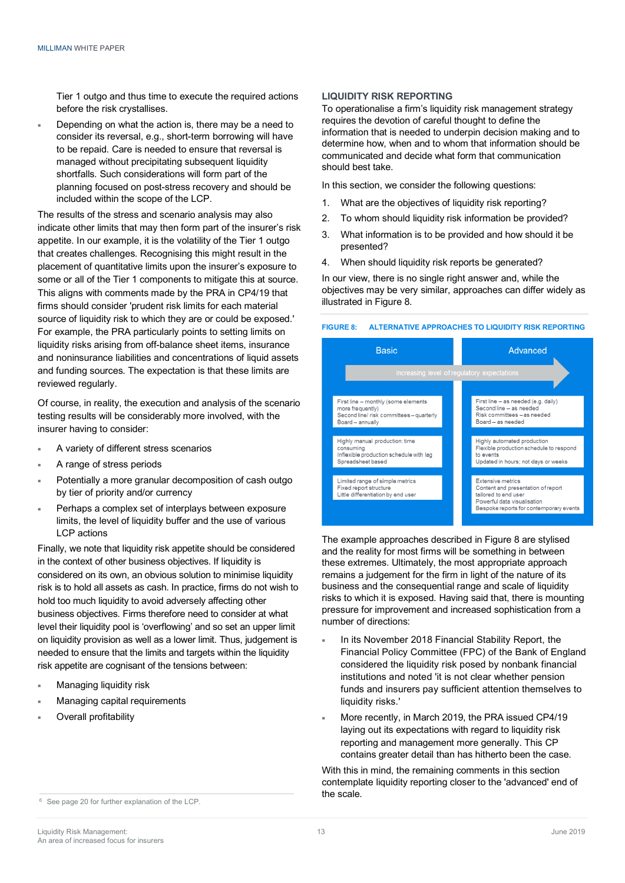Tier 1 outgo and thus time to execute the required actions before the risk crystallises.

¡ Depending on what the action is, there may be a need to consider its reversal, e.g., short-term borrowing will have to be repaid. Care is needed to ensure that reversal is managed without precipitating subsequent liquidity shortfalls. Such considerations will form part of the planning focused on post-stress recovery and should be included within the scope of the LCP.

The results of the stress and scenario analysis may also indicate other limits that may then form part of the insurer's risk appetite. In our example, it is the volatility of the Tier 1 outgo that creates challenges. Recognising this might result in the placement of quantitative limits upon the insurer's exposure to some or all of the Tier 1 components to mitigate this at source. This aligns with comments made by the PRA in CP4/19 that firms should consider 'prudent risk limits for each material source of liquidity risk to which they are or could be exposed.' For example, the PRA particularly points to setting limits on liquidity risks arising from off-balance sheet items, insurance and noninsurance liabilities and concentrations of liquid assets and funding sources. The expectation is that these limits are reviewed regularly.

Of course, in reality, the execution and analysis of the scenario testing results will be considerably more involved, with the insurer having to consider:

- A variety of different stress scenarios
- A range of stress periods
- Potentially a more granular decomposition of cash outgo by tier of priority and/or currency
- Perhaps a complex set of interplays between exposure limits, the level of liquidity buffer and the use of various LCP actions

Finally, we note that liquidity risk appetite should be considered in the context of other business objectives. If liquidity is considered on its own, an obvious solution to minimise liquidity risk is to hold all assets as cash. In practice, firms do not wish to hold too much liquidity to avoid adversely affecting other business objectives. Firms therefore need to consider at what level their liquidity pool is 'overflowing' and so set an upper limit on liquidity provision as well as a lower limit. Thus, judgement is needed to ensure that the limits and targets within the liquidity risk appetite are cognisant of the tensions between:

- Managing liquidity risk
- Managing capital requirements
- Overall profitability

#### **LIQUIDITY RISK REPORTING**

To operationalise a firm's liquidity risk management strategy requires the devotion of careful thought to define the information that is needed to underpin decision making and to determine how, when and to whom that information should be communicated and decide what form that communication should best take.

In this section, we consider the following questions:

- 1. What are the objectives of liquidity risk reporting?
- 2. To whom should liquidity risk information be provided?
- 3. What information is to be provided and how should it be presented?
- 4. When should liquidity risk reports be generated?

In our view, there is no single right answer and, while the objectives may be very similar, approaches can differ widely as illustrated in Figure 8.

**FIGURE 8: ALTERNATIVE APPROACHES TO LIQUIDITY RISK REPORTING**



The example approaches described in Figure 8 are stylised and the reality for most firms will be something in between these extremes. Ultimately, the most appropriate approach remains a judgement for the firm in light of the nature of its business and the consequential range and scale of liquidity risks to which it is exposed. Having said that, there is mounting pressure for improvement and increased sophistication from a number of directions:

- In its November 2018 Financial Stability Report, the Financial Policy Committee (FPC) of the Bank of England considered the liquidity risk posed by nonbank financial institutions and noted 'it is not clear whether pension funds and insurers pay sufficient attention themselves to liquidity risks.'
- More recently, in March 2019, the PRA issued CP4/19 laying out its expectations with regard to liquidity risk reporting and management more generally. This CP contains greater detail than has hitherto been the case.

With this in mind, the remaining comments in this section contemplate liquidity reporting closer to the 'advanced' end of

**the scale.** <sup>6</sup> See page 20 for further explanation of the LCP.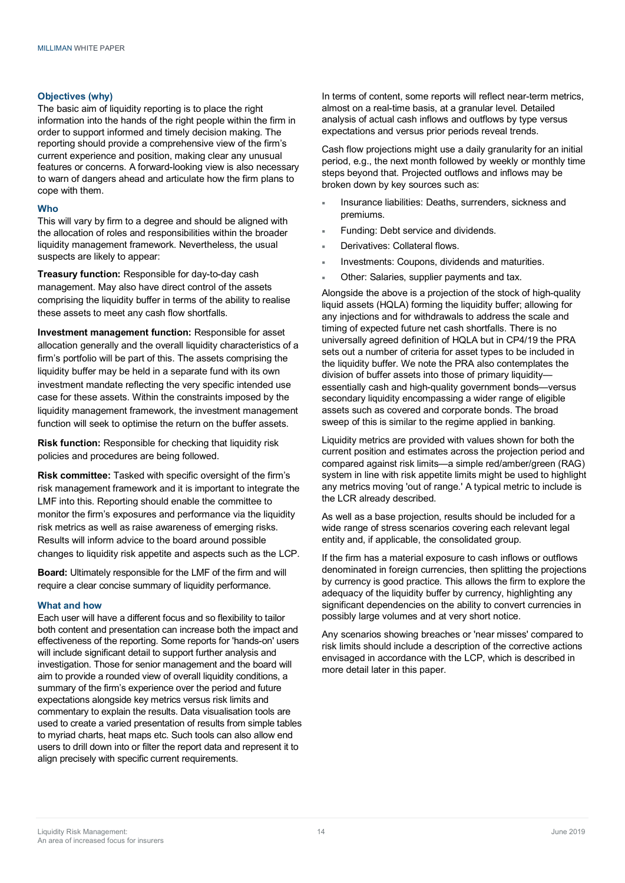#### **Objectives (why)**

The basic aim of liquidity reporting is to place the right information into the hands of the right people within the firm in order to support informed and timely decision making. The reporting should provide a comprehensive view of the firm's current experience and position, making clear any unusual features or concerns. A forward-looking view is also necessary to warn of dangers ahead and articulate how the firm plans to cope with them.

#### **Who**

This will vary by firm to a degree and should be aligned with the allocation of roles and responsibilities within the broader liquidity management framework. Nevertheless, the usual suspects are likely to appear:

**Treasury function:** Responsible for day-to-day cash management. May also have direct control of the assets comprising the liquidity buffer in terms of the ability to realise these assets to meet any cash flow shortfalls.

**Investment management function:** Responsible for asset allocation generally and the overall liquidity characteristics of a firm's portfolio will be part of this. The assets comprising the liquidity buffer may be held in a separate fund with its own investment mandate reflecting the very specific intended use case for these assets. Within the constraints imposed by the liquidity management framework, the investment management function will seek to optimise the return on the buffer assets.

**Risk function:** Responsible for checking that liquidity risk policies and procedures are being followed.

**Risk committee:** Tasked with specific oversight of the firm's risk management framework and it is important to integrate the LMF into this. Reporting should enable the committee to monitor the firm's exposures and performance via the liquidity risk metrics as well as raise awareness of emerging risks. Results will inform advice to the board around possible changes to liquidity risk appetite and aspects such as the LCP.

**Board:** Ultimately responsible for the LMF of the firm and will require a clear concise summary of liquidity performance.

#### **What and how**

Each user will have a different focus and so flexibility to tailor both content and presentation can increase both the impact and effectiveness of the reporting. Some reports for 'hands-on' users will include significant detail to support further analysis and investigation. Those for senior management and the board will aim to provide a rounded view of overall liquidity conditions, a summary of the firm's experience over the period and future expectations alongside key metrics versus risk limits and commentary to explain the results. Data visualisation tools are used to create a varied presentation of results from simple tables to myriad charts, heat maps etc. Such tools can also allow end users to drill down into or filter the report data and represent it to align precisely with specific current requirements.

In terms of content, some reports will reflect near-term metrics, almost on a real-time basis, at a granular level. Detailed analysis of actual cash inflows and outflows by type versus expectations and versus prior periods reveal trends.

Cash flow projections might use a daily granularity for an initial period, e.g., the next month followed by weekly or monthly time steps beyond that. Projected outflows and inflows may be broken down by key sources such as:

- Insurance liabilities: Deaths, surrenders, sickness and premiums.
- Funding: Debt service and dividends.
- Derivatives: Collateral flows.
- Investments: Coupons, dividends and maturities.
- Other: Salaries, supplier payments and tax.

Alongside the above is a projection of the stock of high-quality liquid assets (HQLA) forming the liquidity buffer; allowing for any injections and for withdrawals to address the scale and timing of expected future net cash shortfalls. There is no universally agreed definition of HQLA but in CP4/19 the PRA sets out a number of criteria for asset types to be included in the liquidity buffer. We note the PRA also contemplates the division of buffer assets into those of primary liquidityessentially cash and high-quality government bonds—versus secondary liquidity encompassing a wider range of eligible assets such as covered and corporate bonds. The broad sweep of this is similar to the regime applied in banking.

Liquidity metrics are provided with values shown for both the current position and estimates across the projection period and compared against risk limits—a simple red/amber/green (RAG) system in line with risk appetite limits might be used to highlight any metrics moving 'out of range.' A typical metric to include is the LCR already described.

As well as a base projection, results should be included for a wide range of stress scenarios covering each relevant legal entity and, if applicable, the consolidated group.

If the firm has a material exposure to cash inflows or outflows denominated in foreign currencies, then splitting the projections by currency is good practice. This allows the firm to explore the adequacy of the liquidity buffer by currency, highlighting any significant dependencies on the ability to convert currencies in possibly large volumes and at very short notice.

Any scenarios showing breaches or 'near misses' compared to risk limits should include a description of the corrective actions envisaged in accordance with the LCP, which is described in more detail later in this paper.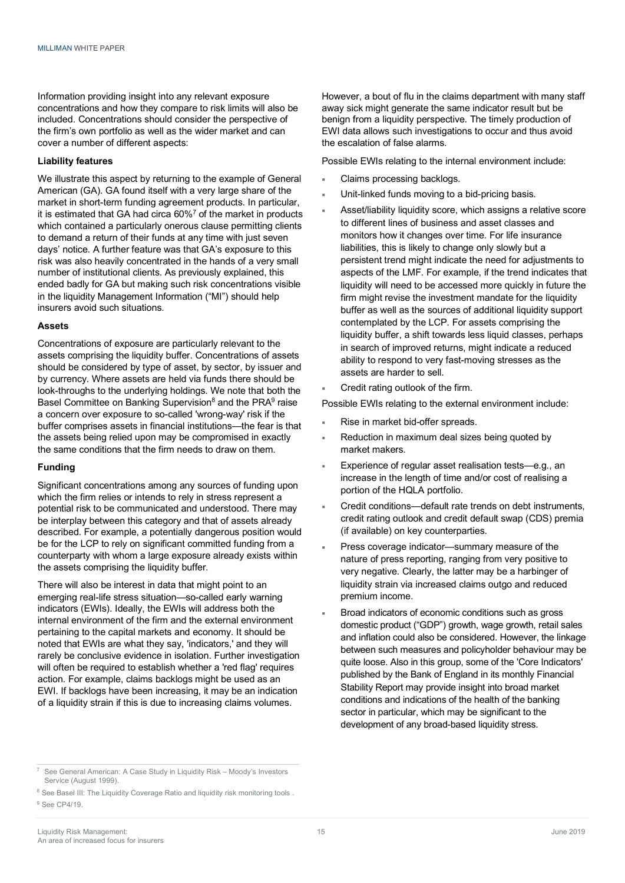Information providing insight into any relevant exposure concentrations and how they compare to risk limits will also be included. Concentrations should consider the perspective of the firm's own portfolio as well as the wider market and can cover a number of different aspects:

#### **Liability features**

We illustrate this aspect by returning to the example of General American (GA). GA found itself with a very large share of the market in short-term funding agreement products. In particular, it is estimated that GA had circa  $60\%$ <sup>7</sup> of the market in products which contained a particularly onerous clause permitting clients to demand a return of their funds at any time with just seven days' notice. A further feature was that GA's exposure to this risk was also heavily concentrated in the hands of a very small number of institutional clients. As previously explained, this ended badly for GA but making such risk concentrations visible in the liquidity Management Information ("MI") should help insurers avoid such situations.

#### **Assets**

Concentrations of exposure are particularly relevant to the assets comprising the liquidity buffer. Concentrations of assets should be considered by type of asset, by sector, by issuer and by currency. Where assets are held via funds there should be look-throughs to the underlying holdings. We note that both the Basel Committee on Banking Supervision<sup>8</sup> and the PRA<sup>9</sup> raise a concern over exposure to so-called 'wrong-way' risk if the buffer comprises assets in financial institutions—the fear is that the assets being relied upon may be compromised in exactly the same conditions that the firm needs to draw on them.

#### **Funding**

Significant concentrations among any sources of funding upon which the firm relies or intends to rely in stress represent a potential risk to be communicated and understood. There may be interplay between this category and that of assets already described. For example, a potentially dangerous position would be for the LCP to rely on significant committed funding from a counterparty with whom a large exposure already exists within the assets comprising the liquidity buffer.

There will also be interest in data that might point to an emerging real-life stress situation—so-called early warning indicators (EWIs). Ideally, the EWIs will address both the internal environment of the firm and the external environment pertaining to the capital markets and economy. It should be noted that EWIs are what they say, 'indicators,' and they will rarely be conclusive evidence in isolation. Further investigation will often be required to establish whether a 'red flag' requires action. For example, claims backlogs might be used as an EWI. If backlogs have been increasing, it may be an indication of a liquidity strain if this is due to increasing claims volumes.

However, a bout of flu in the claims department with many staff away sick might generate the same indicator result but be benign from a liquidity perspective. The timely production of EWI data allows such investigations to occur and thus avoid the escalation of false alarms.

Possible EWIs relating to the internal environment include:

- Claims processing backlogs.
- Unit-linked funds moving to a bid-pricing basis.
- Asset/liability liquidity score, which assigns a relative score to different lines of business and asset classes and monitors how it changes over time. For life insurance liabilities, this is likely to change only slowly but a persistent trend might indicate the need for adjustments to aspects of the LMF. For example, if the trend indicates that liquidity will need to be accessed more quickly in future the firm might revise the investment mandate for the liquidity buffer as well as the sources of additional liquidity support contemplated by the LCP. For assets comprising the liquidity buffer, a shift towards less liquid classes, perhaps in search of improved returns, might indicate a reduced ability to respond to very fast-moving stresses as the assets are harder to sell.
- Credit rating outlook of the firm.

Possible EWIs relating to the external environment include:

- Rise in market bid-offer spreads.
- Reduction in maximum deal sizes being quoted by market makers.
- Experience of regular asset realisation tests-e.g., an increase in the length of time and/or cost of realising a portion of the HQLA portfolio.
- Credit conditions-default rate trends on debt instruments, credit rating outlook and credit default swap (CDS) premia (if available) on key counterparties.
- Press coverage indicator-summary measure of the nature of press reporting, ranging from very positive to very negative. Clearly, the latter may be a harbinger of liquidity strain via increased claims outgo and reduced premium income.
- Broad indicators of economic conditions such as gross domestic product ("GDP") growth, wage growth, retail sales and inflation could also be considered. However, the linkage between such measures and policyholder behaviour may be quite loose. Also in this group, some of the 'Core Indicators' published by the Bank of England in its monthly Financial Stability Report may provide insight into broad market conditions and indications of the health of the banking sector in particular, which may be significant to the development of any broad-based liquidity stress.

<sup>7</sup> See General American: A Case Study in Liquidity Risk – Moody's Investors Service (August 1999).

<sup>&</sup>lt;sup>8</sup> See Basel III: The Liquidity Coverage Ratio and liquidity risk monitoring tools .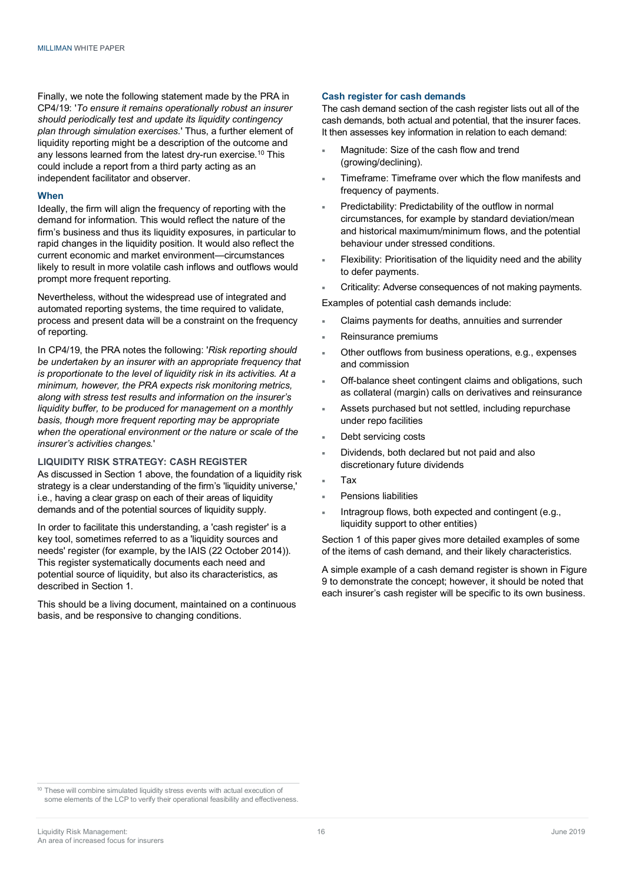Finally, we note the following statement made by the PRA in CP4/19: '*To ensure it remains operationally robust an insurer should periodically test and update its liquidity contingency plan through simulation exercises.*' Thus, a further element of liquidity reporting might be a description of the outcome and any lessons learned from the latest dry-run exercise. <sup>10</sup> This could include a report from a third party acting as an independent facilitator and observer.

#### **When**

Ideally, the firm will align the frequency of reporting with the demand for information. This would reflect the nature of the firm's business and thus its liquidity exposures, in particular to rapid changes in the liquidity position. It would also reflect the current economic and market environment—circumstances likely to result in more volatile cash inflows and outflows would prompt more frequent reporting.

Nevertheless, without the widespread use of integrated and automated reporting systems, the time required to validate, process and present data will be a constraint on the frequency of reporting.

In CP4/19, the PRA notes the following: '*Risk reporting should be undertaken by an insurer with an appropriate frequency that is proportionate to the level of liquidity risk in its activities. At a minimum, however, the PRA expects risk monitoring metrics, along with stress test results and information on the insurer's liquidity buffer, to be produced for management on a monthly basis, though more frequent reporting may be appropriate when the operational environment or the nature or scale of the insurer's activities changes.*'

#### **LIQUIDITY RISK STRATEGY: CASH REGISTER**

As discussed in Section 1 above, the foundation of a liquidity risk strategy is a clear understanding of the firm's 'liquidity universe,' i.e., having a clear grasp on each of their areas of liquidity demands and of the potential sources of liquidity supply.

In order to facilitate this understanding, a 'cash register' is a key tool, sometimes referred to as a 'liquidity sources and needs' register (for example, by the IAIS (22 October 2014)). This register systematically documents each need and potential source of liquidity, but also its characteristics, as described in Section 1.

This should be a living document, maintained on a continuous basis, and be responsive to changing conditions.

#### **Cash register for cash demands**

The cash demand section of the cash register lists out all of the cash demands, both actual and potential, that the insurer faces. It then assesses key information in relation to each demand:

- Magnitude: Size of the cash flow and trend (growing/declining).
- Timeframe: Timeframe over which the flow manifests and frequency of payments.
- Predictability: Predictability of the outflow in normal circumstances, for example by standard deviation/mean and historical maximum/minimum flows, and the potential behaviour under stressed conditions.
- Flexibility: Prioritisation of the liquidity need and the ability to defer payments.
- Criticality: Adverse consequences of not making payments.

Examples of potential cash demands include:

- Claims payments for deaths, annuities and surrender
- Reinsurance premiums
- Other outflows from business operations, e.g., expenses and commission
- Off-balance sheet contingent claims and obligations, such as collateral (margin) calls on derivatives and reinsurance
- Assets purchased but not settled, including repurchase under repo facilities
- Debt servicing costs
- Dividends, both declared but not paid and also discretionary future dividends
- ¡ Tax
- ¡ Pensions liabilities
- Intragroup flows, both expected and contingent (e.g., liquidity support to other entities)

Section 1 of this paper gives more detailed examples of some of the items of cash demand, and their likely characteristics.

A simple example of a cash demand register is shown in Figure 9 to demonstrate the concept; however, it should be noted that each insurer's cash register will be specific to its own business.

<sup>10</sup> These will combine simulated liquidity stress events with actual execution of some elements of the LCP to verify their operational feasibility and effectiveness.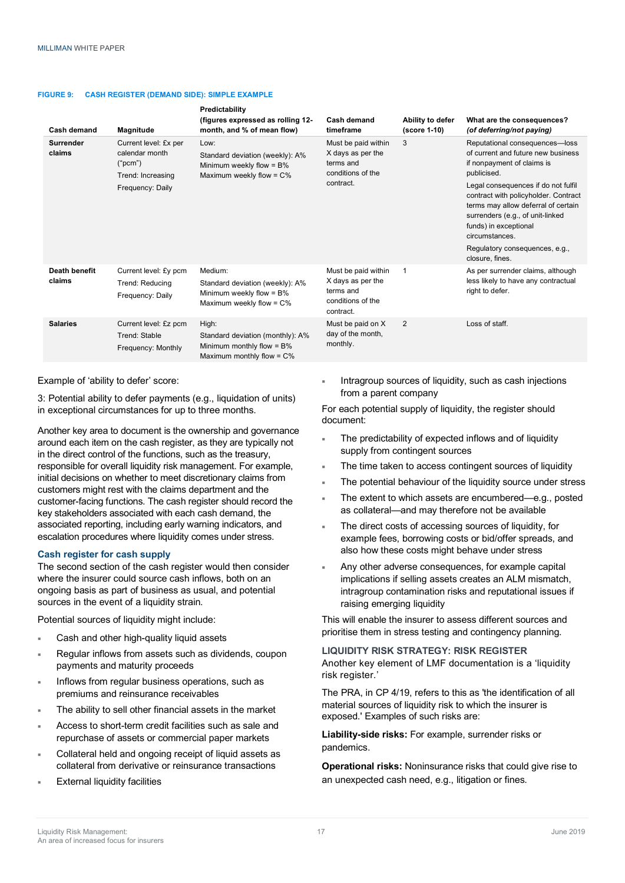#### **FIGURE 9: CASH REGISTER (DEMAND SIDE): SIMPLE EXAMPLE**

| Cash demand             | Magnitude                                                                                   | Predictability<br>(figures expressed as rolling 12-<br>month, and % of mean flow)                         | Cash demand<br>timeframe                                                                | Ability to defer<br>(score 1-10) | What are the consequences?<br>(of deferring/not paying)                                                                                                                                                                                                                                                                                                                     |
|-------------------------|---------------------------------------------------------------------------------------------|-----------------------------------------------------------------------------------------------------------|-----------------------------------------------------------------------------------------|----------------------------------|-----------------------------------------------------------------------------------------------------------------------------------------------------------------------------------------------------------------------------------------------------------------------------------------------------------------------------------------------------------------------------|
| Surrender<br>claims     | Current level: £x per<br>calendar month<br>("pcm")<br>Trend: Increasing<br>Frequency: Daily | Low:<br>Standard deviation (weekly): A%<br>Minimum weekly flow $= B\%$<br>Maximum weekly flow = $C\%$     | Must be paid within<br>X days as per the<br>terms and<br>conditions of the<br>contract. | 3                                | Reputational consequences-loss<br>of current and future new business<br>if nonpayment of claims is<br>publicised.<br>Legal consequences if do not fulfil<br>contract with policyholder. Contract<br>terms may allow deferral of certain<br>surrenders (e.g., of unit-linked<br>funds) in exceptional<br>circumstances.<br>Regulatory consequences, e.g.,<br>closure, fines. |
| Death benefit<br>claims | Current level: £y pcm<br>Trend: Reducing<br>Frequency: Daily                                | Medium:<br>Standard deviation (weekly): A%<br>Minimum weekly flow = $B\%$<br>Maximum weekly flow = $C\%$  | Must be paid within<br>X days as per the<br>terms and<br>conditions of the<br>contract. | 1                                | As per surrender claims, although<br>less likely to have any contractual<br>right to defer.                                                                                                                                                                                                                                                                                 |
| <b>Salaries</b>         | Current level: £z pcm<br>Trend: Stable<br>Frequency: Monthly                                | High:<br>Standard deviation (monthly): A%<br>Minimum monthly flow $= B\%$<br>Maximum monthly flow = $C\%$ | Must be paid on X<br>day of the month,<br>monthly.                                      | 2                                | Loss of staff.                                                                                                                                                                                                                                                                                                                                                              |

#### Example of 'ability to defer' score:

3: Potential ability to defer payments (e.g., liquidation of units) in exceptional circumstances for up to three months.

Another key area to document is the ownership and governance around each item on the cash register, as they are typically not in the direct control of the functions, such as the treasury, responsible for overall liquidity risk management. For example, initial decisions on whether to meet discretionary claims from customers might rest with the claims department and the customer-facing functions. The cash register should record the key stakeholders associated with each cash demand, the associated reporting, including early warning indicators, and escalation procedures where liquidity comes under stress.

#### **Cash register for cash supply**

The second section of the cash register would then consider where the insurer could source cash inflows, both on an ongoing basis as part of business as usual, and potential sources in the event of a liquidity strain.

Potential sources of liquidity might include:

- Cash and other high-quality liquid assets
- Regular inflows from assets such as dividends, coupon payments and maturity proceeds
- Inflows from regular business operations, such as premiums and reinsurance receivables
- The ability to sell other financial assets in the market
- Access to short-term credit facilities such as sale and repurchase of assets or commercial paper markets
- Collateral held and ongoing receipt of liquid assets as collateral from derivative or reinsurance transactions
- **External liquidity facilities**

Intragroup sources of liquidity, such as cash injections from a parent company

For each potential supply of liquidity, the register should document:

- The predictability of expected inflows and of liquidity supply from contingent sources
- The time taken to access contingent sources of liquidity
- The potential behaviour of the liquidity source under stress
- The extent to which assets are encumbered—e.g., posted as collateral—and may therefore not be available
- The direct costs of accessing sources of liquidity, for example fees, borrowing costs or bid/offer spreads, and also how these costs might behave under stress
- Any other adverse consequences, for example capital implications if selling assets creates an ALM mismatch, intragroup contamination risks and reputational issues if raising emerging liquidity

This will enable the insurer to assess different sources and prioritise them in stress testing and contingency planning.

**LIQUIDITY RISK STRATEGY: RISK REGISTER** Another key element of LMF documentation is a 'liquidity risk register.'

The PRA, in CP 4/19, refers to this as 'the identification of all material sources of liquidity risk to which the insurer is exposed.' Examples of such risks are:

**Liability-side risks:** For example, surrender risks or pandemics.

**Operational risks:** Noninsurance risks that could give rise to an unexpected cash need, e.g., litigation or fines.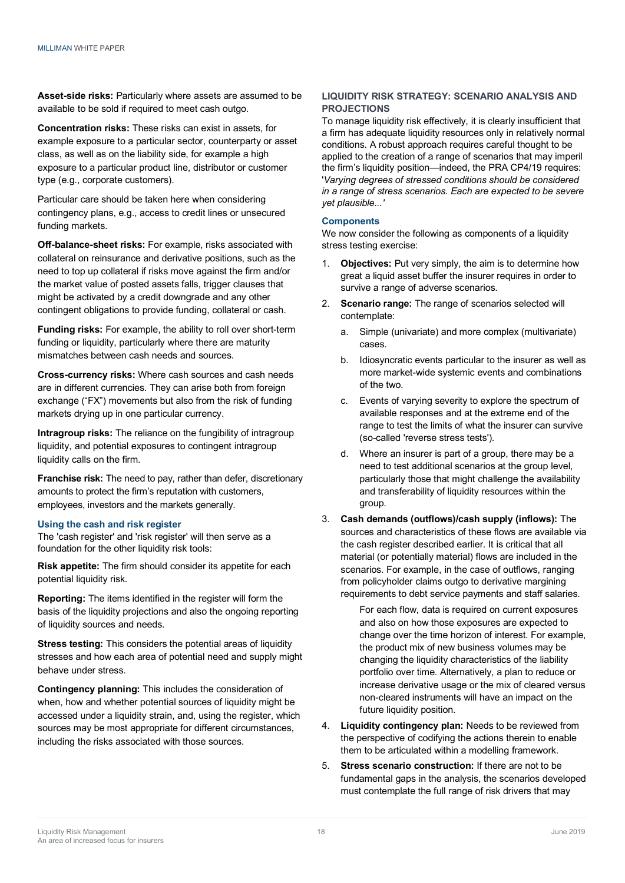**Asset-side risks:** Particularly where assets are assumed to be available to be sold if required to meet cash outgo.

**Concentration risks:** These risks can exist in assets, for example exposure to a particular sector, counterparty or asset class, as well as on the liability side, for example a high exposure to a particular product line, distributor or customer type (e.g., corporate customers).

Particular care should be taken here when considering contingency plans, e.g., access to credit lines or unsecured funding markets.

**Off-balance-sheet risks:** For example, risks associated with collateral on reinsurance and derivative positions, such as the need to top up collateral if risks move against the firm and/or the market value of posted assets falls, trigger clauses that might be activated by a credit downgrade and any other contingent obligations to provide funding, collateral or cash.

**Funding risks:** For example, the ability to roll over short-term funding or liquidity, particularly where there are maturity mismatches between cash needs and sources.

**Cross-currency risks:** Where cash sources and cash needs are in different currencies. They can arise both from foreign exchange ("FX") movements but also from the risk of funding markets drying up in one particular currency.

**Intragroup risks:** The reliance on the fungibility of intragroup liquidity, and potential exposures to contingent intragroup liquidity calls on the firm.

**Franchise risk:** The need to pay, rather than defer, discretionary amounts to protect the firm's reputation with customers, employees, investors and the markets generally.

# **Using the cash and risk register**

The 'cash register' and 'risk register' will then serve as a foundation for the other liquidity risk tools:

**Risk appetite:** The firm should consider its appetite for each potential liquidity risk.

**Reporting:** The items identified in the register will form the basis of the liquidity projections and also the ongoing reporting of liquidity sources and needs.

**Stress testing:** This considers the potential areas of liquidity stresses and how each area of potential need and supply might behave under stress.

**Contingency planning:** This includes the consideration of when, how and whether potential sources of liquidity might be accessed under a liquidity strain, and, using the register, which sources may be most appropriate for different circumstances, including the risks associated with those sources.

# **LIQUIDITY RISK STRATEGY: SCENARIO ANALYSIS AND PROJECTIONS**

To manage liquidity risk effectively, it is clearly insufficient that a firm has adequate liquidity resources only in relatively normal conditions. A robust approach requires careful thought to be applied to the creation of a range of scenarios that may imperil the firm's liquidity position—indeed, the PRA CP4/19 requires: '*Varying degrees of stressed conditions should be considered in a range of stress scenarios. Each are expected to be severe yet plausible...'*

### **Components**

We now consider the following as components of a liquidity stress testing exercise:

- 1. **Objectives:** Put very simply, the aim is to determine how great a liquid asset buffer the insurer requires in order to survive a range of adverse scenarios.
- 2. **Scenario range:** The range of scenarios selected will contemplate:
	- a. Simple (univariate) and more complex (multivariate) cases.
	- b. Idiosyncratic events particular to the insurer as well as more market-wide systemic events and combinations of the two.
	- c. Events of varying severity to explore the spectrum of available responses and at the extreme end of the range to test the limits of what the insurer can survive (so-called 'reverse stress tests').
	- d. Where an insurer is part of a group, there may be a need to test additional scenarios at the group level, particularly those that might challenge the availability and transferability of liquidity resources within the group.
- 3. **Cash demands (outflows)/cash supply (inflows):** The sources and characteristics of these flows are available via the cash register described earlier. It is critical that all material (or potentially material) flows are included in the scenarios. For example, in the case of outflows, ranging from policyholder claims outgo to derivative margining requirements to debt service payments and staff salaries.

For each flow, data is required on current exposures and also on how those exposures are expected to change over the time horizon of interest. For example, the product mix of new business volumes may be changing the liquidity characteristics of the liability portfolio over time. Alternatively, a plan to reduce or increase derivative usage or the mix of cleared versus non-cleared instruments will have an impact on the future liquidity position.

- 4. **Liquidity contingency plan:** Needs to be reviewed from the perspective of codifying the actions therein to enable them to be articulated within a modelling framework.
- 5. **Stress scenario construction:** If there are not to be fundamental gaps in the analysis, the scenarios developed must contemplate the full range of risk drivers that may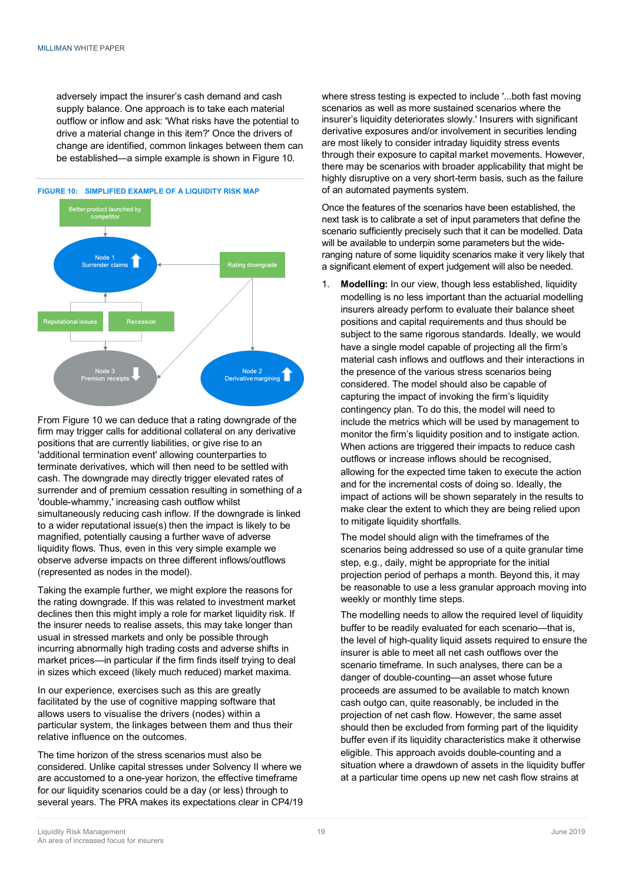adversely impact the insurer's cash demand and cash supply balance. One approach is to take each material outflow or inflow and ask: 'What risks have the potential to drive a material change in this item?' Once the drivers of change are identified, common linkages between them can be established—a simple example is shown in Figure 10.



From Figure 10 we can deduce that a rating downgrade of the firm may trigger calls for additional collateral on any derivative positions that are currently liabilities, or give rise to an 'additional termination event' allowing counterparties to terminate derivatives, which will then need to be settled with cash. The downgrade may directly trigger elevated rates of surrender and of premium cessation resulting in something of a 'double-whammy,' increasing cash outflow whilst simultaneously reducing cash inflow. If the downgrade is linked to a wider reputational issue(s) then the impact is likely to be magnified, potentially causing a further wave of adverse liquidity flows. Thus, even in this very simple example we observe adverse impacts on three different inflows/outflows (represented as nodes in the model).

Taking the example further, we might explore the reasons for the rating downgrade. If this was related to investment market declines then this might imply a role for market liquidity risk. If the insurer needs to realise assets, this may take longer than usual in stressed markets and only be possible through incurring abnormally high trading costs and adverse shifts in market prices—in particular if the firm finds itself trying to deal in sizes which exceed (likely much reduced) market maxima.

In our experience, exercises such as this are greatly facilitated by the use of cognitive mapping software that allows users to visualise the drivers (nodes) within a particular system, the linkages between them and thus their relative influence on the outcomes.

The time horizon of the stress scenarios must also be considered. Unlike capital stresses under Solvency II where we are accustomed to a one-year horizon, the effective timeframe for our liquidity scenarios could be a day (or less) through to several years. The PRA makes its expectations clear in CP4/19 where stress testing is expected to include '...both fast moving scenarios as well as more sustained scenarios where the insurer's liquidity deteriorates slowly.' Insurers with significant derivative exposures and/or involvement in securities lending are most likely to consider intraday liquidity stress events through their exposure to capital market movements. However, there may be scenarios with broader applicability that might be highly disruptive on a very short-term basis, such as the failure of an automated payments system.

Once the features of the scenarios have been established, the next task is to calibrate a set of input parameters that define the scenario sufficiently precisely such that it can be modelled. Data will be available to underpin some parameters but the wideranging nature of some liquidity scenarios make it very likely that a significant element of expert judgement will also be needed.

1. **Modelling:** In our view, though less established, liquidity modelling is no less important than the actuarial modelling insurers already perform to evaluate their balance sheet positions and capital requirements and thus should be subject to the same rigorous standards. Ideally, we would have a single model capable of projecting all the firm's material cash inflows and outflows and their interactions in the presence of the various stress scenarios being considered. The model should also be capable of capturing the impact of invoking the firm's liquidity contingency plan. To do this, the model will need to include the metrics which will be used by management to monitor the firm's liquidity position and to instigate action. When actions are triggered their impacts to reduce cash outflows or increase inflows should be recognised, allowing for the expected time taken to execute the action and for the incremental costs of doing so. Ideally, the impact of actions will be shown separately in the results to make clear the extent to which they are being relied upon to mitigate liquidity shortfalls.

The model should align with the timeframes of the scenarios being addressed so use of a quite granular time step, e.g., daily, might be appropriate for the initial projection period of perhaps a month. Beyond this, it may be reasonable to use a less granular approach moving into weekly or monthly time steps.

The modelling needs to allow the required level of liquidity buffer to be readily evaluated for each scenario—that is, the level of high-quality liquid assets required to ensure the insurer is able to meet all net cash outflows over the scenario timeframe. In such analyses, there can be a danger of double-counting—an asset whose future proceeds are assumed to be available to match known cash outgo can, quite reasonably, be included in the projection of net cash flow. However, the same asset should then be excluded from forming part of the liquidity buffer even if its liquidity characteristics make it otherwise eligible. This approach avoids double-counting and a situation where a drawdown of assets in the liquidity buffer at a particular time opens up new net cash flow strains at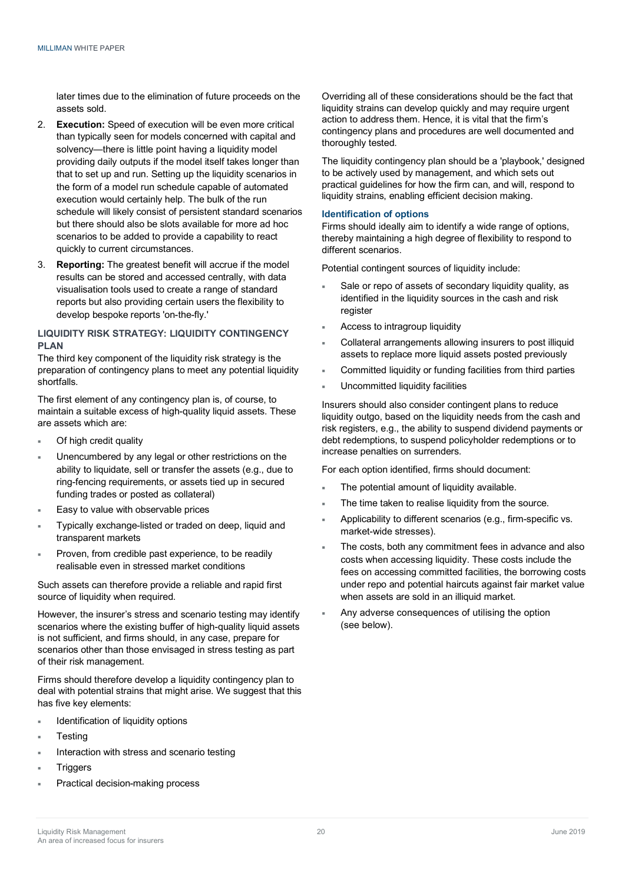later times due to the elimination of future proceeds on the assets sold.

- 2. **Execution:** Speed of execution will be even more critical than typically seen for models concerned with capital and solvency—there is little point having a liquidity model providing daily outputs if the model itself takes longer than that to set up and run. Setting up the liquidity scenarios in the form of a model run schedule capable of automated execution would certainly help. The bulk of the run schedule will likely consist of persistent standard scenarios but there should also be slots available for more ad hoc scenarios to be added to provide a capability to react quickly to current circumstances.
- 3. **Reporting:** The greatest benefit will accrue if the model results can be stored and accessed centrally, with data visualisation tools used to create a range of standard reports but also providing certain users the flexibility to develop bespoke reports 'on-the-fly.'

# **LIQUIDITY RISK STRATEGY: LIQUIDITY CONTINGENCY PLAN**

The third key component of the liquidity risk strategy is the preparation of contingency plans to meet any potential liquidity shortfalls.

The first element of any contingency plan is, of course, to maintain a suitable excess of high-quality liquid assets. These are assets which are:

- Of high credit quality
- Unencumbered by any legal or other restrictions on the ability to liquidate, sell or transfer the assets (e.g., due to ring-fencing requirements, or assets tied up in secured funding trades or posted as collateral)
- Easy to value with observable prices
- Typically exchange-listed or traded on deep, liquid and transparent markets
- Proven, from credible past experience, to be readily realisable even in stressed market conditions

Such assets can therefore provide a reliable and rapid first source of liquidity when required.

However, the insurer's stress and scenario testing may identify scenarios where the existing buffer of high-quality liquid assets is not sufficient, and firms should, in any case, prepare for scenarios other than those envisaged in stress testing as part of their risk management.

Firms should therefore develop a liquidity contingency plan to deal with potential strains that might arise. We suggest that this has five key elements:

- Identification of liquidity options
- **Testing**
- Interaction with stress and scenario testing
- **Triggers**
- Practical decision-making process

Overriding all of these considerations should be the fact that liquidity strains can develop quickly and may require urgent action to address them. Hence, it is vital that the firm's contingency plans and procedures are well documented and thoroughly tested.

The liquidity contingency plan should be a 'playbook,' designed to be actively used by management, and which sets out practical guidelines for how the firm can, and will, respond to liquidity strains, enabling efficient decision making.

#### **Identification of options**

Firms should ideally aim to identify a wide range of options, thereby maintaining a high degree of flexibility to respond to different scenarios.

Potential contingent sources of liquidity include:

- Sale or repo of assets of secondary liquidity quality, as identified in the liquidity sources in the cash and risk register
- Access to intragroup liquidity
- Collateral arrangements allowing insurers to post illiquid assets to replace more liquid assets posted previously
- Committed liquidity or funding facilities from third parties
- Uncommitted liquidity facilities

Insurers should also consider contingent plans to reduce liquidity outgo, based on the liquidity needs from the cash and risk registers, e.g., the ability to suspend dividend payments or debt redemptions, to suspend policyholder redemptions or to increase penalties on surrenders.

For each option identified, firms should document:

- The potential amount of liquidity available.
- The time taken to realise liquidity from the source.
- Applicability to different scenarios (e.g., firm-specific vs. market-wide stresses).
- The costs, both any commitment fees in advance and also costs when accessing liquidity. These costs include the fees on accessing committed facilities, the borrowing costs under repo and potential haircuts against fair market value when assets are sold in an illiquid market.
- Any adverse consequences of utilising the option (see below).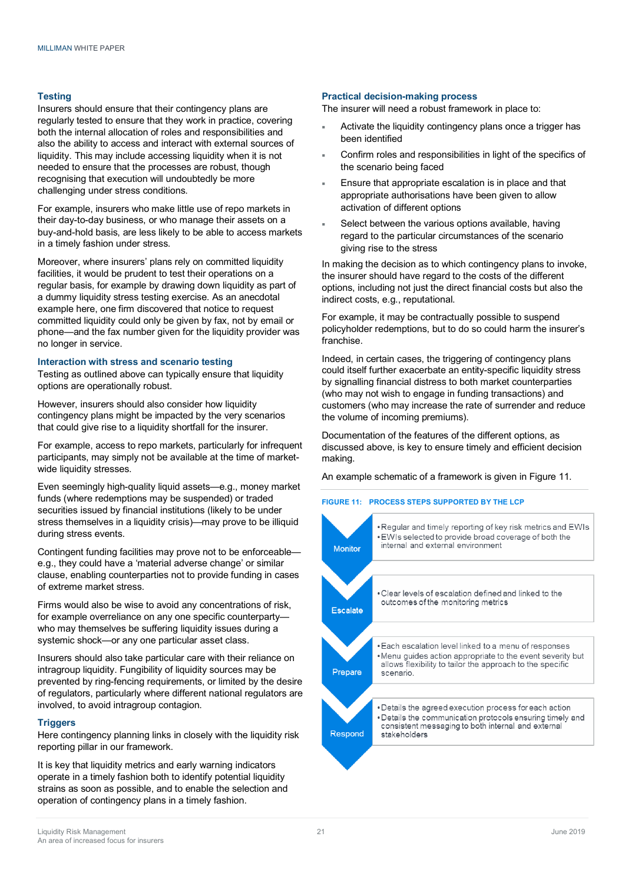#### **Testing**

Insurers should ensure that their contingency plans are regularly tested to ensure that they work in practice, covering both the internal allocation of roles and responsibilities and also the ability to access and interact with external sources of liquidity. This may include accessing liquidity when it is not needed to ensure that the processes are robust, though recognising that execution will undoubtedly be more challenging under stress conditions.

For example, insurers who make little use of repo markets in their day-to-day business, or who manage their assets on a buy-and-hold basis, are less likely to be able to access markets in a timely fashion under stress.

Moreover, where insurers' plans rely on committed liquidity facilities, it would be prudent to test their operations on a regular basis, for example by drawing down liquidity as part of a dummy liquidity stress testing exercise. As an anecdotal example here, one firm discovered that notice to request committed liquidity could only be given by fax, not by email or phone—and the fax number given for the liquidity provider was no longer in service.

#### **Interaction with stress and scenario testing**

Testing as outlined above can typically ensure that liquidity options are operationally robust.

However, insurers should also consider how liquidity contingency plans might be impacted by the very scenarios that could give rise to a liquidity shortfall for the insurer.

For example, access to repo markets, particularly for infrequent participants, may simply not be available at the time of marketwide liquidity stresses.

Even seemingly high-quality liquid assets—e.g., money market funds (where redemptions may be suspended) or traded securities issued by financial institutions (likely to be under stress themselves in a liquidity crisis)—may prove to be illiquid during stress events.

Contingent funding facilities may prove not to be enforceable e.g., they could have a 'material adverse change' or similar clause, enabling counterparties not to provide funding in cases of extreme market stress.

Firms would also be wise to avoid any concentrations of risk, for example overreliance on any one specific counterparty who may themselves be suffering liquidity issues during a systemic shock—or any one particular asset class.

Insurers should also take particular care with their reliance on intragroup liquidity. Fungibility of liquidity sources may be prevented by ring-fencing requirements, or limited by the desire of regulators, particularly where different national regulators are involved, to avoid intragroup contagion.

# **Triggers**

Here contingency planning links in closely with the liquidity risk reporting pillar in our framework.

It is key that liquidity metrics and early warning indicators operate in a timely fashion both to identify potential liquidity strains as soon as possible, and to enable the selection and operation of contingency plans in a timely fashion.

### **Practical decision-making process**

The insurer will need a robust framework in place to:

- Activate the liquidity contingency plans once a trigger has been identified
- Confirm roles and responsibilities in light of the specifics of the scenario being faced
- Ensure that appropriate escalation is in place and that appropriate authorisations have been given to allow activation of different options
- Select between the various options available, having regard to the particular circumstances of the scenario giving rise to the stress

In making the decision as to which contingency plans to invoke, the insurer should have regard to the costs of the different options, including not just the direct financial costs but also the indirect costs, e.g., reputational.

For example, it may be contractually possible to suspend policyholder redemptions, but to do so could harm the insurer's franchise.

Indeed, in certain cases, the triggering of contingency plans could itself further exacerbate an entity-specific liquidity stress by signalling financial distress to both market counterparties (who may not wish to engage in funding transactions) and customers (who may increase the rate of surrender and reduce the volume of incoming premiums).

Documentation of the features of the different options, as discussed above, is key to ensure timely and efficient decision making.

An example schematic of a framework is given in Figure 11.

#### **FIGURE 11: PROCESS STEPS SUPPORTED BY THE LCP**

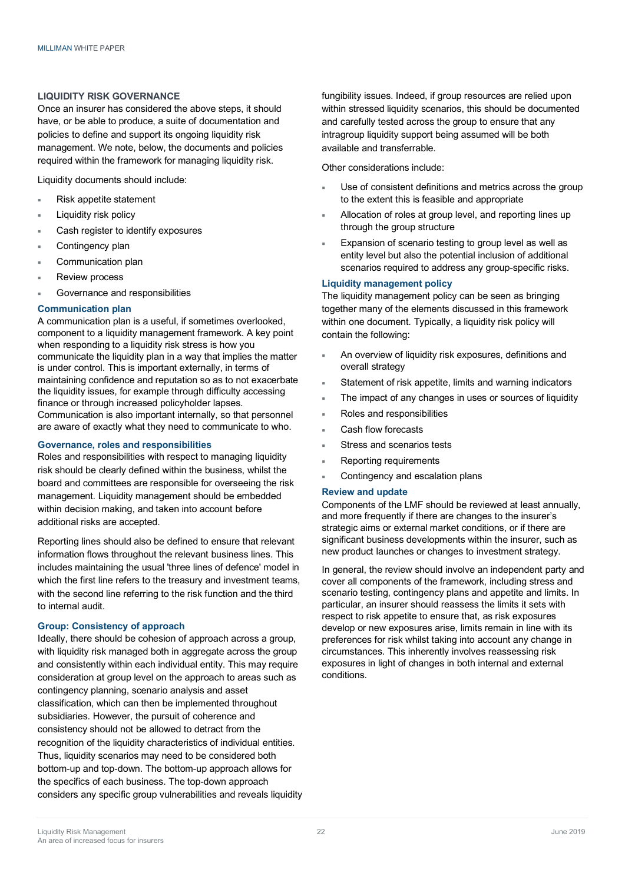### **LIQUIDITY RISK GOVERNANCE**

Once an insurer has considered the above steps, it should have, or be able to produce, a suite of documentation and policies to define and support its ongoing liquidity risk management. We note, below, the documents and policies required within the framework for managing liquidity risk.

Liquidity documents should include:

- Risk appetite statement
- Liquidity risk policy
- Cash register to identify exposures
- Contingency plan
- Communication plan
- **Review process**
- Governance and responsibilities

### **Communication plan**

A communication plan is a useful, if sometimes overlooked, component to a liquidity management framework. A key point when responding to a liquidity risk stress is how you communicate the liquidity plan in a way that implies the matter is under control. This is important externally, in terms of maintaining confidence and reputation so as to not exacerbate the liquidity issues, for example through difficulty accessing finance or through increased policyholder lapses. Communication is also important internally, so that personnel are aware of exactly what they need to communicate to who.

### **Governance, roles and responsibilities**

Roles and responsibilities with respect to managing liquidity risk should be clearly defined within the business, whilst the board and committees are responsible for overseeing the risk management. Liquidity management should be embedded within decision making, and taken into account before additional risks are accepted.

Reporting lines should also be defined to ensure that relevant information flows throughout the relevant business lines. This includes maintaining the usual 'three lines of defence' model in which the first line refers to the treasury and investment teams, with the second line referring to the risk function and the third to internal audit.

# **Group: Consistency of approach**

Ideally, there should be cohesion of approach across a group, with liquidity risk managed both in aggregate across the group and consistently within each individual entity. This may require consideration at group level on the approach to areas such as contingency planning, scenario analysis and asset classification, which can then be implemented throughout subsidiaries. However, the pursuit of coherence and consistency should not be allowed to detract from the recognition of the liquidity characteristics of individual entities. Thus, liquidity scenarios may need to be considered both bottom-up and top-down. The bottom-up approach allows for the specifics of each business. The top-down approach considers any specific group vulnerabilities and reveals liquidity fungibility issues. Indeed, if group resources are relied upon within stressed liquidity scenarios, this should be documented and carefully tested across the group to ensure that any intragroup liquidity support being assumed will be both available and transferrable.

Other considerations include:

- Use of consistent definitions and metrics across the group to the extent this is feasible and appropriate
- Allocation of roles at group level, and reporting lines up through the group structure
- Expansion of scenario testing to group level as well as entity level but also the potential inclusion of additional scenarios required to address any group-specific risks.

# **Liquidity management policy**

The liquidity management policy can be seen as bringing together many of the elements discussed in this framework within one document. Typically, a liquidity risk policy will contain the following:

- An overview of liquidity risk exposures, definitions and overall strategy
- Statement of risk appetite, limits and warning indicators
- The impact of any changes in uses or sources of liquidity
- Roles and responsibilities
- Cash flow forecasts
- Stress and scenarios tests
- Reporting requirements
- Contingency and escalation plans

# **Review and update**

Components of the LMF should be reviewed at least annually, and more frequently if there are changes to the insurer's strategic aims or external market conditions, or if there are significant business developments within the insurer, such as new product launches or changes to investment strategy.

In general, the review should involve an independent party and cover all components of the framework, including stress and scenario testing, contingency plans and appetite and limits. In particular, an insurer should reassess the limits it sets with respect to risk appetite to ensure that, as risk exposures develop or new exposures arise, limits remain in line with its preferences for risk whilst taking into account any change in circumstances. This inherently involves reassessing risk exposures in light of changes in both internal and external conditions.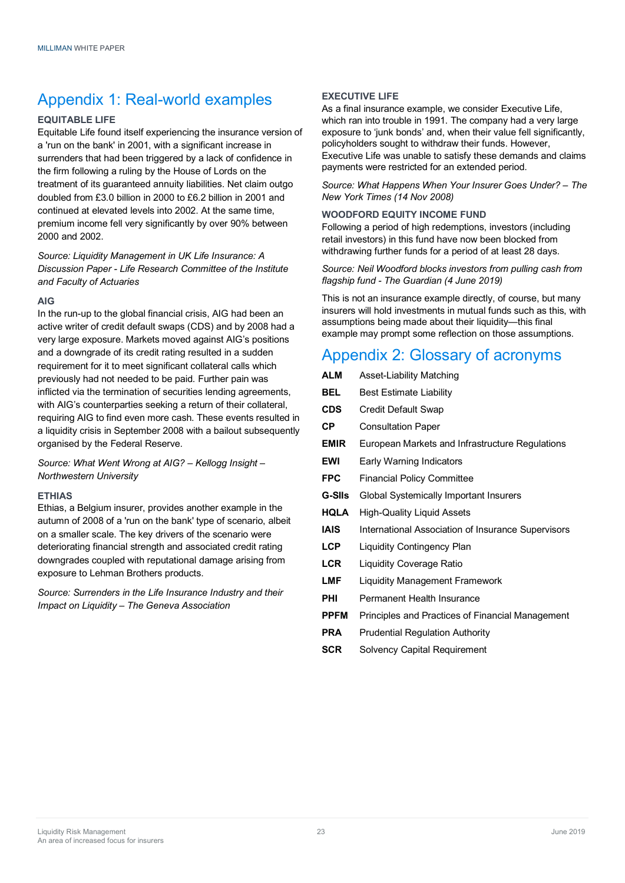# Appendix 1: Real-world examples

# **EQUITABLE LIFE**

Equitable Life found itself experiencing the insurance version of a 'run on the bank' in 2001, with a significant increase in surrenders that had been triggered by a lack of confidence in the firm following a ruling by the House of Lords on the treatment of its guaranteed annuity liabilities. Net claim outgo doubled from £3.0 billion in 2000 to £6.2 billion in 2001 and continued at elevated levels into 2002. At the same time, premium income fell very significantly by over 90% between 2000 and 2002.

*Source: Liquidity Management in UK Life Insurance: A Discussion Paper - Life Research Committee of the Institute and Faculty of Actuaries*

# **AIG**

In the run-up to the global financial crisis, AIG had been an active writer of credit default swaps (CDS) and by 2008 had a very large exposure. Markets moved against AIG's positions and a downgrade of its credit rating resulted in a sudden requirement for it to meet significant collateral calls which previously had not needed to be paid. Further pain was inflicted via the termination of securities lending agreements, with AIG's counterparties seeking a return of their collateral, requiring AIG to find even more cash. These events resulted in a liquidity crisis in September 2008 with a bailout subsequently organised by the Federal Reserve.

*Source: What Went Wrong at AIG? – Kellogg Insight – Northwestern University*

# **ETHIAS**

Ethias, a Belgium insurer, provides another example in the autumn of 2008 of a 'run on the bank' type of scenario, albeit on a smaller scale. The key drivers of the scenario were deteriorating financial strength and associated credit rating downgrades coupled with reputational damage arising from exposure to Lehman Brothers products.

*Source: Surrenders in the Life Insurance Industry and their Impact on Liquidity – The Geneva Association* 

# **EXECUTIVE LIFE**

As a final insurance example, we consider Executive Life, which ran into trouble in 1991. The company had a very large exposure to 'junk bonds' and, when their value fell significantly, policyholders sought to withdraw their funds. However, Executive Life was unable to satisfy these demands and claims payments were restricted for an extended period.

*Source: What Happens When Your Insurer Goes Under? – The New York Times (14 Nov 2008)*

# **WOODFORD EQUITY INCOME FUND**

Following a period of high redemptions, investors (including retail investors) in this fund have now been blocked from withdrawing further funds for a period of at least 28 days.

# *Source: Neil Woodford blocks investors from pulling cash from flagship fund - The Guardian (4 June 2019)*

This is not an insurance example directly, of course, but many insurers will hold investments in mutual funds such as this, with assumptions being made about their liquidity—this final example may prompt some reflection on those assumptions.

# Appendix 2: Glossary of acronyms

| <b>ALM</b>  | Asset-Liability Matching                           |
|-------------|----------------------------------------------------|
| <b>BEL</b>  | <b>Best Estimate Liability</b>                     |
| <b>CDS</b>  | Credit Default Swap                                |
| СP          | <b>Consultation Paper</b>                          |
| <b>EMIR</b> | European Markets and Infrastructure Regulations    |
| <b>EWI</b>  | Early Warning Indicators                           |
| <b>FPC</b>  | <b>Financial Policy Committee</b>                  |
| G-SIIs      | Global Systemically Important Insurers             |
| <b>HQLA</b> | High-Quality Liquid Assets                         |
| <b>IAIS</b> | International Association of Insurance Supervisors |
| <b>LCP</b>  | Liquidity Contingency Plan                         |
| <b>LCR</b>  | <b>Liquidity Coverage Ratio</b>                    |
| LMF         | <b>Liquidity Management Framework</b>              |
| PHI         | Permanent Health Insurance                         |
| <b>PPFM</b> | Principles and Practices of Financial Management   |
| <b>PRA</b>  | <b>Prudential Regulation Authority</b>             |
| <b>SCR</b>  | <b>Solvency Capital Requirement</b>                |